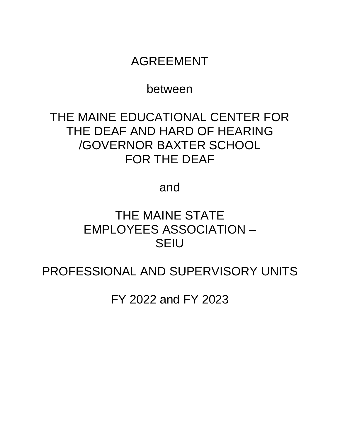## AGREEMENT

## between

# THE MAINE EDUCATIONAL CENTER FOR THE DEAF AND HARD OF HEARING /GOVERNOR BAXTER SCHOOL FOR THE DEAF

and

## THE MAINE STATE EMPLOYEES ASSOCIATION – SEIU

PROFESSIONAL AND SUPERVISORY UNITS

FY 2022 and FY 2023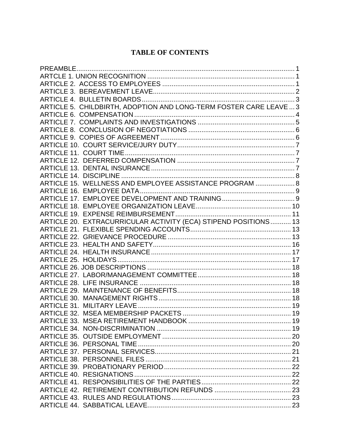## **TABLE OF CONTENTS**

| ARTICLE 5. CHILDBIRTH, ADOPTION AND LONG-TERM FOSTER CARE LEAVE  3 |  |
|--------------------------------------------------------------------|--|
|                                                                    |  |
|                                                                    |  |
|                                                                    |  |
|                                                                    |  |
|                                                                    |  |
|                                                                    |  |
|                                                                    |  |
|                                                                    |  |
|                                                                    |  |
| ARTICLE 15. WELLNESS AND EMPLOYEE ASSISTANCE PROGRAM  8            |  |
|                                                                    |  |
|                                                                    |  |
|                                                                    |  |
|                                                                    |  |
| ARTICLE 20. EXTRACURRICULAR ACTIVITY (ECA) STIPEND POSITIONS 13    |  |
|                                                                    |  |
|                                                                    |  |
|                                                                    |  |
|                                                                    |  |
|                                                                    |  |
|                                                                    |  |
|                                                                    |  |
|                                                                    |  |
|                                                                    |  |
|                                                                    |  |
|                                                                    |  |
|                                                                    |  |
|                                                                    |  |
|                                                                    |  |
|                                                                    |  |
|                                                                    |  |
|                                                                    |  |
|                                                                    |  |
|                                                                    |  |
|                                                                    |  |
|                                                                    |  |
|                                                                    |  |
|                                                                    |  |
|                                                                    |  |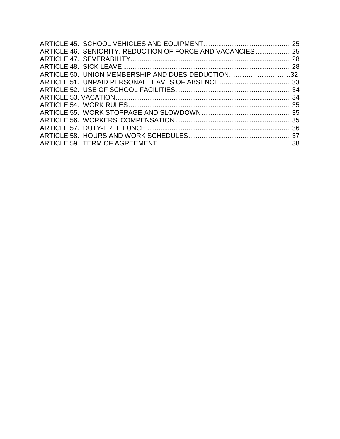| ARTICLE 46. SENIORITY, REDUCTION OF FORCE AND VACANCIES 25 |  |
|------------------------------------------------------------|--|
|                                                            |  |
|                                                            |  |
| ARTICLE 50. UNION MEMBERSHIP AND DUES DEDUCTION32          |  |
|                                                            |  |
|                                                            |  |
|                                                            |  |
|                                                            |  |
|                                                            |  |
|                                                            |  |
|                                                            |  |
|                                                            |  |
|                                                            |  |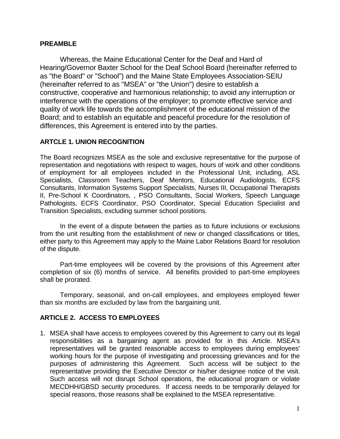### <span id="page-3-0"></span>**PREAMBLE**

Whereas, the Maine Educational Center for the Deaf and Hard of Hearing/Governor Baxter School for the Deaf School Board (hereinafter referred to as "the Board" or "School") and the Maine State Employees Association-SEIU (hereinafter referred to as "MSEA" or "the Union") desire to establish a constructive, cooperative and harmonious relationship; to avoid any interruption or interference with the operations of the employer; to promote effective service and quality of work life towards the accomplishment of the educational mission of the Board; and to establish an equitable and peaceful procedure for the resolution of differences, this Agreement is entered into by the parties.

## <span id="page-3-1"></span>**ARTCLE 1. UNION RECOGNITION**

The Board recognizes MSEA as the sole and exclusive representative for the purpose of representation and negotiations with respect to wages, hours of work and other conditions of employment for all employees included in the Professional Unit, including, ASL Specialists, Classroom Teachers, Deaf Mentors, Educational Audiologists, ECFS Consultants, Information Systems Support Specialists, Nurses III, Occupational Therapists II, Pre-School K Coordinators, , PSO Consultants, Social Workers, Speech Language Pathologists, ECFS Coordinator, PSO Coordinator, Special Education Specialist and Transition Specialists, excluding summer school positions.

In the event of a dispute between the parties as to future inclusions or exclusions from the unit resulting from the establishment of new or changed classifications or titles, either party to this Agreement may apply to the Maine Labor Relations Board for resolution of the dispute.

Part-time employees will be covered by the provisions of this Agreement after completion of six (6) months of service. All benefits provided to part-time employees shall be prorated.

Temporary, seasonal, and on-call employees, and employees employed fewer than six months are excluded by law from the bargaining unit.

## <span id="page-3-2"></span>**ARTICLE 2. ACCESS TO EMPLOYEES**

1. MSEA shall have access to employees covered by this Agreement to carry out its legal responsibilities as a bargaining agent as provided for in this Article. MSEA's representatives will be granted reasonable access to employees during employees' working hours for the purpose of investigating and processing grievances and for the purposes of administering this Agreement. Such access will be subject to the representative providing the Executive Director or his/her designee notice of the visit. Such access will not disrupt School operations, the educational program or violate MECDHH/GBSD security procedures. If access needs to be temporarily delayed for special reasons, those reasons shall be explained to the MSEA representative.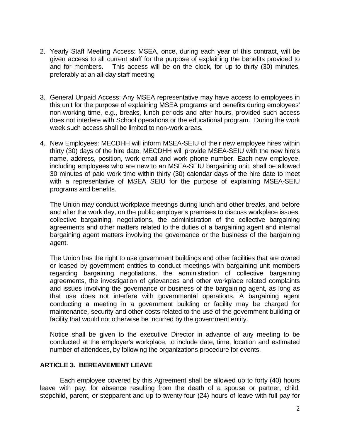- 2. Yearly Staff Meeting Access: MSEA, once, during each year of this contract, will be given access to all current staff for the purpose of explaining the benefits provided to and for members. This access will be on the clock, for up to thirty (30) minutes, preferably at an all-day staff meeting
- 3. General Unpaid Access: Any MSEA representative may have access to employees in this unit for the purpose of explaining MSEA programs and benefits during employees' non-working time, e.g., breaks, lunch periods and after hours, provided such access does not interfere with School operations or the educational program. During the work week such access shall be limited to non-work areas.
- 4. New Employees: MECDHH will inform MSEA-SEIU of their new employee hires within thirty (30) days of the hire date. MECDHH will provide MSEA-SEIU with the new hire's name, address, position, work email and work phone number. Each new employee, including employees who are new to an MSEA-SEIU bargaining unit, shall be allowed 30 minutes of paid work time within thirty (30) calendar days of the hire date to meet with a representative of MSEA SEIU for the purpose of explaining MSEA-SEIU programs and benefits.

The Union may conduct workplace meetings during lunch and other breaks, and before and after the work day, on the public employer's premises to discuss workplace issues, collective bargaining, negotiations, the administration of the collective bargaining agreements and other matters related to the duties of a bargaining agent and internal bargaining agent matters involving the governance or the business of the bargaining agent.

The Union has the right to use government buildings and other facilities that are owned or leased by government entities to conduct meetings with bargaining unit members regarding bargaining negotiations, the administration of collective bargaining agreements, the investigation of grievances and other workplace related complaints and issues involving the governance or business of the bargaining agent, as long as that use does not interfere with governmental operations. A bargaining agent conducting a meeting in a government building or facility may be charged for maintenance, security and other costs related to the use of the government building or facility that would not otherwise be incurred by the government entity.

Notice shall be given to the executive Director in advance of any meeting to be conducted at the employer's workplace, to include date, time, location and estimated number of attendees, by following the organizations procedure for events.

### <span id="page-4-0"></span>**ARTICLE 3. BEREAVEMENT LEAVE**

Each employee covered by this Agreement shall be allowed up to forty (40) hours leave with pay, for absence resulting from the death of a spouse or partner, child, stepchild, parent, or stepparent and up to twenty-four (24) hours of leave with full pay for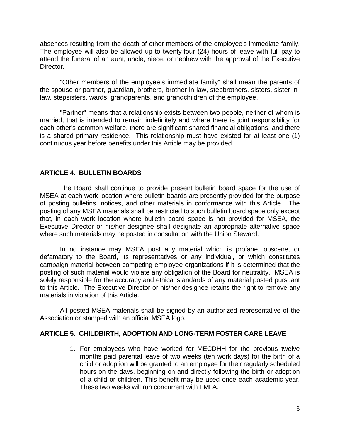absences resulting from the death of other members of the employee's immediate family. The employee will also be allowed up to twenty-four (24) hours of leave with full pay to attend the funeral of an aunt, uncle, niece, or nephew with the approval of the Executive Director.

"Other members of the employee's immediate family" shall mean the parents of the spouse or partner, quardian, brothers, brother-in-law, stepbrothers, sisters, sister-inlaw, stepsisters, wards, grandparents, and grandchildren of the employee.

"Partner" means that a relationship exists between two people, neither of whom is married, that is intended to remain indefinitely and where there is joint responsibility for each other's common welfare, there are significant shared financial obligations, and there is a shared primary residence. This relationship must have existed for at least one (1) continuous year before benefits under this Article may be provided.

### <span id="page-5-0"></span>**ARTICLE 4. BULLETIN BOARDS**

The Board shall continue to provide present bulletin board space for the use of MSEA at each work location where bulletin boards are presently provided for the purpose of posting bulletins, notices, and other materials in conformance with this Article. The posting of any MSEA materials shall be restricted to such bulletin board space only except that, in each work location where bulletin board space is not provided for MSEA, the Executive Director or his/her designee shall designate an appropriate alternative space where such materials may be posted in consultation with the Union Steward.

In no instance may MSEA post any material which is profane, obscene, or defamatory to the Board, its representatives or any individual, or which constitutes campaign material between competing employee organizations if it is determined that the posting of such material would violate any obligation of the Board for neutrality. MSEA is solely responsible for the accuracy and ethical standards of any material posted pursuant to this Article. The Executive Director or his/her designee retains the right to remove any materials in violation of this Article.

All posted MSEA materials shall be signed by an authorized representative of the Association or stamped with an official MSEA logo.

### <span id="page-5-1"></span>**ARTICLE 5. CHILDBIRTH, ADOPTION AND LONG-TERM FOSTER CARE LEAVE**

1. For employees who have worked for MECDHH for the previous twelve months paid parental leave of two weeks (ten work days) for the birth of a child or adoption will be granted to an employee for their regularly scheduled hours on the days, beginning on and directly following the birth or adoption of a child or children. This benefit may be used once each academic year. These two weeks will run concurrent with FMLA.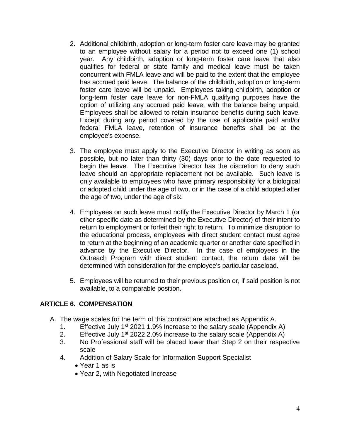- 2. Additional childbirth, adoption or long-term foster care leave may be granted to an employee without salary for a period not to exceed one (1) school year. Any childbirth, adoption or long-term foster care leave that also qualifies for federal or state family and medical leave must be taken concurrent with FMLA leave and will be paid to the extent that the employee has accrued paid leave. The balance of the childbirth, adoption or long-term foster care leave will be unpaid. Employees taking childbirth, adoption or long-term foster care leave for non-FMLA qualifying purposes have the option of utilizing any accrued paid leave, with the balance being unpaid. Employees shall be allowed to retain insurance benefits during such leave. Except during any period covered by the use of applicable paid and/or federal FMLA leave, retention of insurance benefits shall be at the employee's expense.
- 3. The employee must apply to the Executive Director in writing as soon as possible, but no later than thirty (30) days prior to the date requested to begin the leave. The Executive Director has the discretion to deny such leave should an appropriate replacement not be available. Such leave is only available to employees who have primary responsibility for a biological or adopted child under the age of two, or in the case of a child adopted after the age of two, under the age of six.
- 4. Employees on such leave must notify the Executive Director by March 1 (or other specific date as determined by the Executive Director) of their intent to return to employment or forfeit their right to return. To minimize disruption to the educational process, employees with direct student contact must agree to return at the beginning of an academic quarter or another date specified in advance by the Executive Director. In the case of employees in the Outreach Program with direct student contact, the return date will be determined with consideration for the employee's particular caseload.
- 5. Employees will be returned to their previous position or, if said position is not available, to a comparable position.

### <span id="page-6-0"></span>**ARTICLE 6. COMPENSATION**

- A. The wage scales for the term of this contract are attached as Appendix A.
	- 1. Effective July 1<sup>st</sup> 2021 1.9% Increase to the salary scale (Appendix A)
	- 2. Effective July 1<sup>st</sup> 2022 2.0% increase to the salary scale (Appendix A)
	- 3. No Professional staff will be placed lower than Step 2 on their respective scale
	- 4. Addition of Salary Scale for Information Support Specialist
		- Year 1 as is
		- Year 2, with Negotiated Increase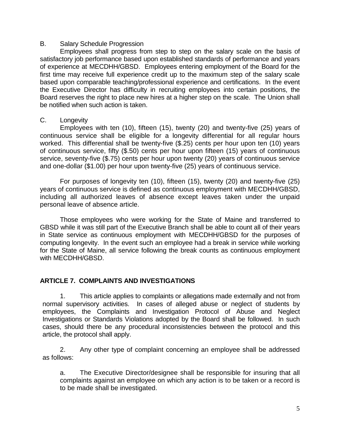### B. Salary Schedule Progression

Employees shall progress from step to step on the salary scale on the basis of satisfactory job performance based upon established standards of performance and years of experience at MECDHH/GBSD. Employees entering employment of the Board for the first time may receive full experience credit up to the maximum step of the salary scale based upon comparable teaching/professional experience and certifications. In the event the Executive Director has difficulty in recruiting employees into certain positions, the Board reserves the right to place new hires at a higher step on the scale. The Union shall be notified when such action is taken.

### C. Longevity

Employees with ten (10), fifteen (15), twenty (20) and twenty-five (25) years of continuous service shall be eligible for a longevity differential for all regular hours worked. This differential shall be twenty-five (\$.25) cents per hour upon ten (10) years of continuous service, fifty (\$.50) cents per hour upon fifteen (15) years of continuous service, seventy-five (\$.75) cents per hour upon twenty (20) years of continuous service and one-dollar (\$1.00) per hour upon twenty-five (25) years of continuous service.

For purposes of longevity ten (10), fifteen (15), twenty (20) and twenty-five (25) years of continuous service is defined as continuous employment with MECDHH/GBSD, including all authorized leaves of absence except leaves taken under the unpaid personal leave of absence article.

Those employees who were working for the State of Maine and transferred to GBSD while it was still part of the Executive Branch shall be able to count all of their years in State service as continuous employment with MECDHH/GBSD for the purposes of computing longevity. In the event such an employee had a break in service while working for the State of Maine, all service following the break counts as continuous employment with MECDHH/GBSD.

### <span id="page-7-0"></span>**ARTICLE 7. COMPLAINTS AND INVESTIGATIONS**

1. This article applies to complaints or allegations made externally and not from normal supervisory activities. In cases of alleged abuse or neglect of students by employees, the Complaints and Investigation Protocol of Abuse and Neglect Investigations or Standards Violations adopted by the Board shall be followed. In such cases, should there be any procedural inconsistencies between the protocol and this article, the protocol shall apply.

2. Any other type of complaint concerning an employee shall be addressed as follows:

a. The Executive Director/designee shall be responsible for insuring that all complaints against an employee on which any action is to be taken or a record is to be made shall be investigated.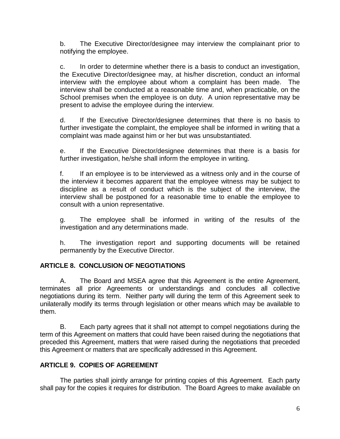b. The Executive Director/designee may interview the complainant prior to notifying the employee.

c. In order to determine whether there is a basis to conduct an investigation, the Executive Director/designee may, at his/her discretion, conduct an informal interview with the employee about whom a complaint has been made. The interview shall be conducted at a reasonable time and, when practicable, on the School premises when the employee is on duty. A union representative may be present to advise the employee during the interview.

d. If the Executive Director/designee determines that there is no basis to further investigate the complaint, the employee shall be informed in writing that a complaint was made against him or her but was unsubstantiated.

e. If the Executive Director/designee determines that there is a basis for further investigation, he/she shall inform the employee in writing.

f. If an employee is to be interviewed as a witness only and in the course of the interview it becomes apparent that the employee witness may be subject to discipline as a result of conduct which is the subject of the interview, the interview shall be postponed for a reasonable time to enable the employee to consult with a union representative.

g. The employee shall be informed in writing of the results of the investigation and any determinations made.

h. The investigation report and supporting documents will be retained permanently by the Executive Director.

## <span id="page-8-0"></span>**ARTICLE 8. CONCLUSION OF NEGOTIATIONS**

A. The Board and MSEA agree that this Agreement is the entire Agreement, terminates all prior Agreements or understandings and concludes all collective negotiations during its term. Neither party will during the term of this Agreement seek to unilaterally modify its terms through legislation or other means which may be available to them.

B. Each party agrees that it shall not attempt to compel negotiations during the term of this Agreement on matters that could have been raised during the negotiations that preceded this Agreement, matters that were raised during the negotiations that preceded this Agreement or matters that are specifically addressed in this Agreement.

## <span id="page-8-1"></span>**ARTICLE 9. COPIES OF AGREEMENT**

The parties shall jointly arrange for printing copies of this Agreement. Each party shall pay for the copies it requires for distribution. The Board Agrees to make available on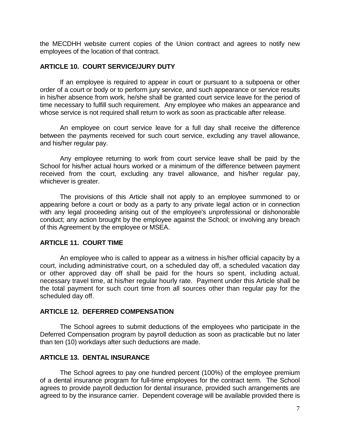the MECDHH website current copies of the Union contract and agrees to notify new employees of the location of that contract.

#### <span id="page-9-0"></span>**ARTICLE 10. COURT SERVICE/JURY DUTY**

If an employee is required to appear in court or pursuant to a subpoena or other order of a court or body or to perform jury service, and such appearance or service results in his/her absence from work, he/she shall be granted court service leave for the period of time necessary to fulfill such requirement. Any employee who makes an appearance and whose service is not required shall return to work as soon as practicable after release.

An employee on court service leave for a full day shall receive the difference between the payments received for such court service, excluding any travel allowance, and his/her regular pay.

Any employee returning to work from court service leave shall be paid by the School for his/her actual hours worked or a minimum of the difference between payment received from the court, excluding any travel allowance, and his/her regular pay, whichever is greater.

The provisions of this Article shall not apply to an employee summoned to or appearing before a court or body as a party to any private legal action or in connection with any legal proceeding arising out of the employee's unprofessional or dishonorable conduct; any action brought by the employee against the School; or involving any breach of this Agreement by the employee or MSEA.

### <span id="page-9-1"></span>**ARTICLE 11. COURT TIME**

An employee who is called to appear as a witness in his/her official capacity by a court, including administrative court, on a scheduled day off, a scheduled vacation day or other approved day off shall be paid for the hours so spent, including actual, necessary travel time, at his/her regular hourly rate. Payment under this Article shall be the total payment for such court time from all sources other than regular pay for the scheduled day off.

#### <span id="page-9-2"></span>**ARTICLE 12. DEFERRED COMPENSATION**

The School agrees to submit deductions of the employees who participate in the Deferred Compensation program by payroll deduction as soon as practicable but no later than ten (10) workdays after such deductions are made.

### <span id="page-9-3"></span>**ARTICLE 13. DENTAL INSURANCE**

The School agrees to pay one hundred percent (100%) of the employee premium of a dental insurance program for full-time employees for the contract term. The School agrees to provide payroll deduction for dental insurance, provided such arrangements are agreed to by the insurance carrier. Dependent coverage will be available provided there is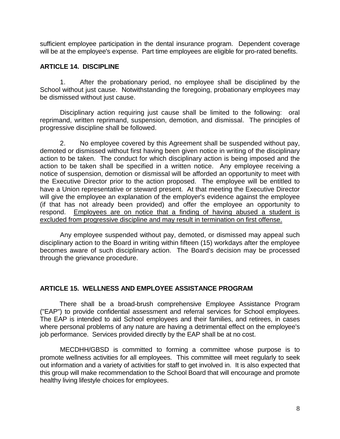sufficient employee participation in the dental insurance program. Dependent coverage will be at the employee's expense. Part time employees are eligible for pro-rated benefits.

### <span id="page-10-0"></span>**ARTICLE 14. DISCIPLINE**

1. After the probationary period, no employee shall be disciplined by the School without just cause. Notwithstanding the foregoing, probationary employees may be dismissed without just cause.

Disciplinary action requiring just cause shall be limited to the following: oral reprimand, written reprimand, suspension, demotion, and dismissal. The principles of progressive discipline shall be followed.

2. No employee covered by this Agreement shall be suspended without pay, demoted or dismissed without first having been given notice in writing of the disciplinary action to be taken. The conduct for which disciplinary action is being imposed and the action to be taken shall be specified in a written notice. Any employee receiving a notice of suspension, demotion or dismissal will be afforded an opportunity to meet with the Executive Director prior to the action proposed. The employee will be entitled to have a Union representative or steward present. At that meeting the Executive Director will give the employee an explanation of the employer's evidence against the employee (if that has not already been provided) and offer the employee an opportunity to respond. Employees are on notice that a finding of having abused a student is excluded from progressive discipline and may result in termination on first offense.

Any employee suspended without pay, demoted, or dismissed may appeal such disciplinary action to the Board in writing within fifteen (15) workdays after the employee becomes aware of such disciplinary action. The Board's decision may be processed through the grievance procedure.

### <span id="page-10-1"></span>**ARTICLE 15. WELLNESS AND EMPLOYEE ASSISTANCE PROGRAM**

There shall be a broad-brush comprehensive Employee Assistance Program ("EAP") to provide confidential assessment and referral services for School employees. The EAP is intended to aid School employees and their families, and retirees, in cases where personal problems of any nature are having a detrimental effect on the employee's job performance. Services provided directly by the EAP shall be at no cost.

MECDHH/GBSD is committed to forming a committee whose purpose is to promote wellness activities for all employees. This committee will meet regularly to seek out information and a variety of activities for staff to get involved in. It is also expected that this group will make recommendation to the School Board that will encourage and promote healthy living lifestyle choices for employees.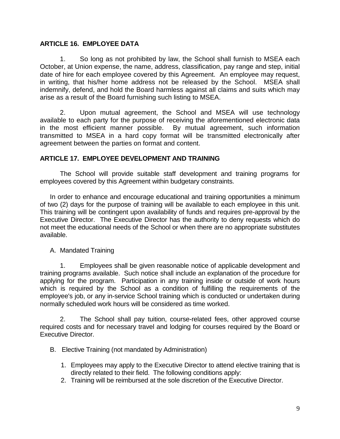## <span id="page-11-0"></span>**ARTICLE 16. EMPLOYEE DATA**

1. So long as not prohibited by law, the School shall furnish to MSEA each October, at Union expense, the name, address, classification, pay range and step, initial date of hire for each employee covered by this Agreement. An employee may request, in writing, that his/her home address not be released by the School.MSEA shall indemnify, defend, and hold the Board harmless against all claims and suits which may arise as a result of the Board furnishing such listing to MSEA.

2. Upon mutual agreement, the School and MSEA will use technology available to each party for the purpose of receiving the aforementioned electronic data in the most efficient manner possible. By mutual agreement, such information transmitted to MSEA in a hard copy format will be transmitted electronically after agreement between the parties on format and content.

## <span id="page-11-1"></span>**ARTICLE 17. EMPLOYEE DEVELOPMENT AND TRAINING**

The School will provide suitable staff development and training programs for employees covered by this Agreement within budgetary constraints.

In order to enhance and encourage educational and training opportunities a minimum of two (2) days for the purpose of training will be available to each employee in this unit. This training will be contingent upon availability of funds and requires pre-approval by the Executive Director. The Executive Director has the authority to deny requests which do not meet the educational needs of the School or when there are no appropriate substitutes available.

### A. Mandated Training

1. Employees shall be given reasonable notice of applicable development and training programs available. Such notice shall include an explanation of the procedure for applying for the program. Participation in any training inside or outside of work hours which is required by the School as a condition of fulfilling the requirements of the employee's job, or any in-service School training which is conducted or undertaken during normally scheduled work hours will be considered as time worked.

2. The School shall pay tuition, course-related fees, other approved course required costs and for necessary travel and lodging for courses required by the Board or Executive Director.

- B. Elective Training (not mandated by Administration)
	- 1. Employees may apply to the Executive Director to attend elective training that is directly related to their field. The following conditions apply:
	- 2. Training will be reimbursed at the sole discretion of the Executive Director.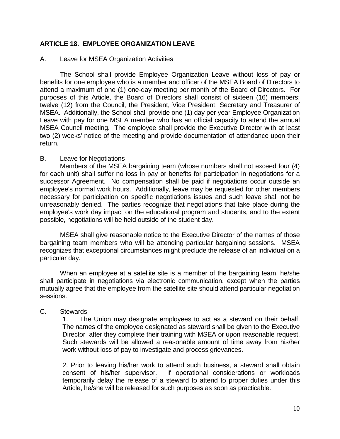## <span id="page-12-0"></span>**ARTICLE 18. EMPLOYEE ORGANIZATION LEAVE**

#### A. Leave for MSEA Organization Activities

The School shall provide Employee Organization Leave without loss of pay or benefits for one employee who is a member and officer of the MSEA Board of Directors to attend a maximum of one (1) one-day meeting per month of the Board of Directors. For purposes of this Article, the Board of Directors shall consist of sixteen (16) members: twelve (12) from the Council, the President, Vice President, Secretary and Treasurer of MSEA. Additionally, the School shall provide one (1) day per year Employee Organization Leave with pay for one MSEA member who has an official capacity to attend the annual MSEA Council meeting. The employee shall provide the Executive Director with at least two (2) weeks' notice of the meeting and provide documentation of attendance upon their return.

#### B. Leave for Negotiations

Members of the MSEA bargaining team (whose numbers shall not exceed four (4) for each unit) shall suffer no loss in pay or benefits for participation in negotiations for a successor Agreement. No compensation shall be paid if negotiations occur outside an employee's normal work hours. Additionally, leave may be requested for other members necessary for participation on specific negotiations issues and such leave shall not be unreasonably denied. The parties recognize that negotiations that take place during the employee's work day impact on the educational program and students, and to the extent possible, negotiations will be held outside of the student day.

MSEA shall give reasonable notice to the Executive Director of the names of those bargaining team members who will be attending particular bargaining sessions. MSEA recognizes that exceptional circumstances might preclude the release of an individual on a particular day.

When an employee at a satellite site is a member of the bargaining team, he/she shall participate in negotiations via electronic communication, except when the parties mutually agree that the employee from the satellite site should attend particular negotiation sessions.

### C. Stewards

1. The Union may designate employees to act as a steward on their behalf. The names of the employee designated as steward shall be given to the Executive Director after they complete their training with MSEA or upon reasonable request. Such stewards will be allowed a reasonable amount of time away from his/her work without loss of pay to investigate and process grievances.

2. Prior to leaving his/her work to attend such business, a steward shall obtain consent of his/her supervisor. If operational considerations or workloads temporarily delay the release of a steward to attend to proper duties under this Article, he/she will be released for such purposes as soon as practicable.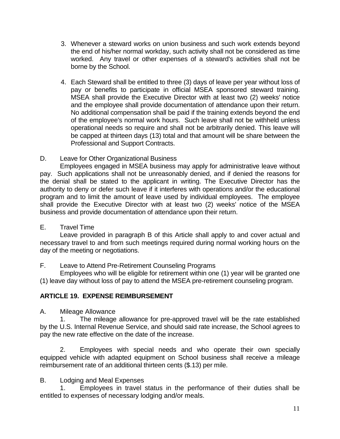- 3. Whenever a steward works on union business and such work extends beyond the end of his/her normal workday, such activity shall not be considered as time worked. Any travel or other expenses of a steward's activities shall not be borne by the School.
- 4. Each Steward shall be entitled to three (3) days of leave per year without loss of pay or benefits to participate in official MSEA sponsored steward training. MSEA shall provide the Executive Director with at least two (2) weeks' notice and the employee shall provide documentation of attendance upon their return. No additional compensation shall be paid if the training extends beyond the end of the employee's normal work hours. Such leave shall not be withheld unless operational needs so require and shall not be arbitrarily denied. This leave will be capped at thirteen days (13) total and that amount will be share between the Professional and Support Contracts.

## D. Leave for Other Organizational Business

Employees engaged in MSEA business may apply for administrative leave without pay. Such applications shall not be unreasonably denied, and if denied the reasons for the denial shall be stated to the applicant in writing. The Executive Director has the authority to deny or defer such leave if it interferes with operations and/or the educational program and to limit the amount of leave used by individual employees. The employee shall provide the Executive Director with at least two (2) weeks' notice of the MSEA business and provide documentation of attendance upon their return.

## E. Travel Time

Leave provided in paragraph B of this Article shall apply to and cover actual and necessary travel to and from such meetings required during normal working hours on the day of the meeting or negotiations.

## F. Leave to Attend Pre-Retirement Counseling Programs

Employees who will be eligible for retirement within one (1) year will be granted one (1) leave day without loss of pay to attend the MSEA pre-retirement counseling program.

## <span id="page-13-0"></span>**ARTICLE 19. EXPENSE REIMBURSEMENT**

A. Mileage Allowance

1. The mileage allowance for pre-approved travel will be the rate established by the U.S. Internal Revenue Service, and should said rate increase, the School agrees to pay the new rate effective on the date of the increase.

2. Employees with special needs and who operate their own specially equipped vehicle with adapted equipment on School business shall receive a mileage reimbursement rate of an additional thirteen cents (\$.13) per mile.

## B. Lodging and Meal Expenses

1. Employees in travel status in the performance of their duties shall be entitled to expenses of necessary lodging and/or meals.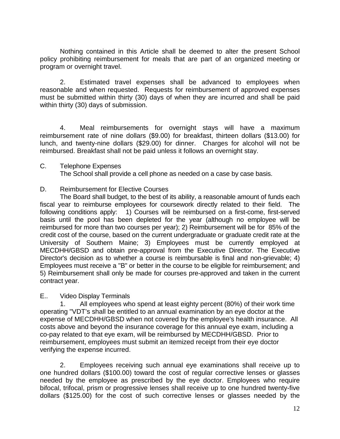Nothing contained in this Article shall be deemed to alter the present School policy prohibiting reimbursement for meals that are part of an organized meeting or program or overnight travel.

2. Estimated travel expenses shall be advanced to employees when reasonable and when requested. Requests for reimbursement of approved expenses must be submitted within thirty (30) days of when they are incurred and shall be paid within thirty (30) days of submission.

4. Meal reimbursements for overnight stays will have a maximum reimbursement rate of nine dollars (\$9.00) for breakfast, thirteen dollars (\$13.00) for lunch, and twenty-nine dollars (\$29.00) for dinner. Charges for alcohol will not be reimbursed. Breakfast shall not be paid unless it follows an overnight stay.

### C. Telephone Expenses

The School shall provide a cell phone as needed on a case by case basis.

### D. Reimbursement for Elective Courses

The Board shall budget, to the best of its ability, a reasonable amount of funds each fiscal year to reimburse employees for coursework directly related to their field. The following conditions apply: 1) Courses will be reimbursed on a first-come, first-served basis until the pool has been depleted for the year (although no employee will be reimbursed for more than two courses per year); 2) Reimbursement will be for 85% of the credit cost of the course, based on the current undergraduate or graduate credit rate at the University of Southern Maine; 3) Employees must be currently employed at MECDHH/GBSD and obtain pre-approval from the Executive Director. The Executive Director's decision as to whether a course is reimbursable is final and non-grievable; 4) Employees must receive a "B" or better in the course to be eligible for reimbursement; and 5) Reimbursement shall only be made for courses pre-approved and taken in the current contract year.

#### E.. Video Display Terminals

1. All employees who spend at least eighty percent (80%) of their work time operating "VDT's shall be entitled to an annual examination by an eye doctor at the expense of MECDHH/GBSD when not covered by the employee's health insurance. All costs above and beyond the insurance coverage for this annual eye exam, including a co-pay related to that eye exam, will be reimbursed by MECDHH/GBSD. Prior to reimbursement, employees must submit an itemized receipt from their eye doctor verifying the expense incurred.

2. Employees receiving such annual eye examinations shall receive up to one hundred dollars (\$100.00) toward the cost of regular corrective lenses or glasses needed by the employee as prescribed by the eye doctor. Employees who require bifocal, trifocal, prism or progressive lenses shall receive up to one hundred twenty-five dollars (\$125.00) for the cost of such corrective lenses or glasses needed by the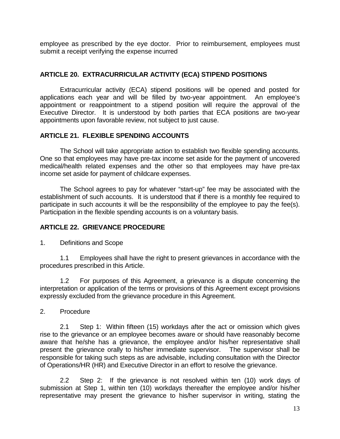employee as prescribed by the eye doctor. Prior to reimbursement, employees must submit a receipt verifying the expense incurred

## <span id="page-15-0"></span>**ARTICLE 20. EXTRACURRICULAR ACTIVITY (ECA) STIPEND POSITIONS**

Extracurricular activity (ECA) stipend positions will be opened and posted for applications each year and will be filled by two-year appointment. An employee's appointment or reappointment to a stipend position will require the approval of the Executive Director. It is understood by both parties that ECA positions are two-year appointments upon favorable review, not subject to just cause.

## <span id="page-15-1"></span>**ARTICLE 21. FLEXIBLE SPENDING ACCOUNTS**

The School will take appropriate action to establish two flexible spending accounts. One so that employees may have pre-tax income set aside for the payment of uncovered medical/health related expenses and the other so that employees may have pre-tax income set aside for payment of childcare expenses.

The School agrees to pay for whatever "start-up" fee may be associated with the establishment of such accounts. It is understood that if there is a monthly fee required to participate in such accounts it will be the responsibility of the employee to pay the fee(s). Participation in the flexible spending accounts is on a voluntary basis.

## <span id="page-15-2"></span>**ARTICLE 22. GRIEVANCE PROCEDURE**

1. Definitions and Scope

1.1 Employees shall have the right to present grievances in accordance with the procedures prescribed in this Article.

1.2 For purposes of this Agreement, a grievance is a dispute concerning the interpretation or application of the terms or provisions of this Agreement except provisions expressly excluded from the grievance procedure in this Agreement.

2. Procedure

2.1 Step 1: Within fifteen (15) workdays after the act or omission which gives rise to the grievance or an employee becomes aware or should have reasonably become aware that he/she has a grievance, the employee and/or his/her representative shall present the grievance orally to his/her immediate supervisor. The supervisor shall be responsible for taking such steps as are advisable, including consultation with the Director of Operations/HR (HR) and Executive Director in an effort to resolve the grievance.

 2.2 Step 2: If the grievance is not resolved within ten (10) work days of submission at Step 1, within ten (10) workdays thereafter the employee and/or his/her representative may present the grievance to his/her supervisor in writing, stating the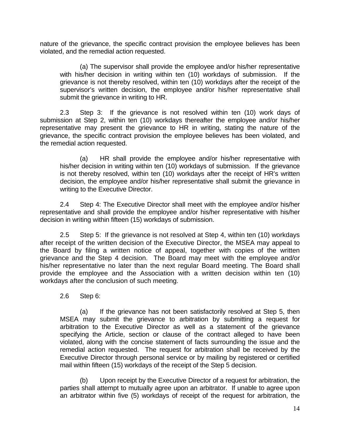nature of the grievance, the specific contract provision the employee believes has been violated, and the remedial action requested.

(a) The supervisor shall provide the employee and/or his/her representative with his/her decision in writing within ten (10) workdays of submission. If the grievance is not thereby resolved, within ten (10) workdays after the receipt of the supervisor's written decision, the employee and/or his/her representative shall submit the grievance in writing to HR.

 2.3 Step 3: If the grievance is not resolved within ten (10) work days of submission at Step 2, within ten (10) workdays thereafter the employee and/or his/her representative may present the grievance to HR in writing, stating the nature of the grievance, the specific contract provision the employee believes has been violated, and the remedial action requested.

(a) HR shall provide the employee and/or his/her representative with his/her decision in writing within ten (10) workdays of submission. If the grievance is not thereby resolved, within ten (10) workdays after the receipt of HR's written decision, the employee and/or his/her representative shall submit the grievance in writing to the Executive Director.

2.4 Step 4: The Executive Director shall meet with the employee and/or his/her representative and shall provide the employee and/or his/her representative with his/her decision in writing within fifteen (15) workdays of submission.

2.5 Step 5: If the grievance is not resolved at Step 4, within ten (10) workdays after receipt of the written decision of the Executive Director, the MSEA may appeal to the Board by filing a written notice of appeal, together with copies of the written grievance and the Step 4 decision. The Board may meet with the employee and/or his/her representative no later than the next regular Board meeting. The Board shall provide the employee and the Association with a written decision within ten (10) workdays after the conclusion of such meeting.

2.6 Step 6:

(a) If the grievance has not been satisfactorily resolved at Step 5, then MSEA may submit the grievance to arbitration by submitting a request for arbitration to the Executive Director as well as a statement of the grievance specifying the Article, section or clause of the contract alleged to have been violated, along with the concise statement of facts surrounding the issue and the remedial action requested. The request for arbitration shall be received by the Executive Director through personal service or by mailing by registered or certified mail within fifteen (15) workdays of the receipt of the Step 5 decision.

(b) Upon receipt by the Executive Director of a request for arbitration, the parties shall attempt to mutually agree upon an arbitrator. If unable to agree upon an arbitrator within five (5) workdays of receipt of the request for arbitration, the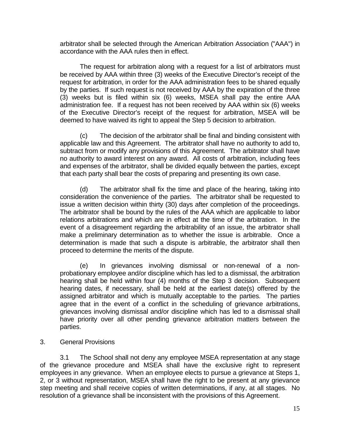arbitrator shall be selected through the American Arbitration Association ("AAA") in accordance with the AAA rules then in effect.

The request for arbitration along with a request for a list of arbitrators must be received by AAA within three (3) weeks of the Executive Director's receipt of the request for arbitration, in order for the AAA administration fees to be shared equally by the parties. If such request is not received by AAA by the expiration of the three (3) weeks but is filed within six (6) weeks, MSEA shall pay the entire AAA administration fee. If a request has not been received by AAA within six (6) weeks of the Executive Director's receipt of the request for arbitration, MSEA will be deemed to have waived its right to appeal the Step 5 decision to arbitration.

(c) The decision of the arbitrator shall be final and binding consistent with applicable law and this Agreement. The arbitrator shall have no authority to add to, subtract from or modify any provisions of this Agreement. The arbitrator shall have no authority to award interest on any award. All costs of arbitration, including fees and expenses of the arbitrator, shall be divided equally between the parties, except that each party shall bear the costs of preparing and presenting its own case.

(d) The arbitrator shall fix the time and place of the hearing, taking into consideration the convenience of the parties. The arbitrator shall be requested to issue a written decision within thirty (30) days after completion of the proceedings. The arbitrator shall be bound by the rules of the AAA which are applicable to labor relations arbitrations and which are in effect at the time of the arbitration. In the event of a disagreement regarding the arbitrability of an issue, the arbitrator shall make a preliminary determination as to whether the issue is arbitrable. Once a determination is made that such a dispute is arbitrable, the arbitrator shall then proceed to determine the merits of the dispute.

(e) In grievances involving dismissal or non-renewal of a nonprobationary employee and/or discipline which has led to a dismissal, the arbitration hearing shall be held within four (4) months of the Step 3 decision. Subsequent hearing dates, if necessary, shall be held at the earliest date(s) offered by the assigned arbitrator and which is mutually acceptable to the parties. The parties agree that in the event of a conflict in the scheduling of grievance arbitrations, grievances involving dismissal and/or discipline which has led to a dismissal shall have priority over all other pending grievance arbitration matters between the parties.

3. General Provisions

3.1 The School shall not deny any employee MSEA representation at any stage of the grievance procedure and MSEA shall have the exclusive right to represent employees in any grievance. When an employee elects to pursue a grievance at Steps 1, 2, or 3 without representation, MSEA shall have the right to be present at any grievance step meeting and shall receive copies of written determinations, if any, at all stages. No resolution of a grievance shall be inconsistent with the provisions of this Agreement.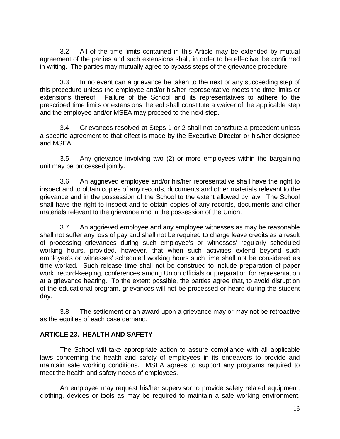3.2 All of the time limits contained in this Article may be extended by mutual agreement of the parties and such extensions shall, in order to be effective, be confirmed in writing. The parties may mutually agree to bypass steps of the grievance procedure.

3.3 In no event can a grievance be taken to the next or any succeeding step of this procedure unless the employee and/or his/her representative meets the time limits or extensions thereof. Failure of the School and its representatives to adhere to the prescribed time limits or extensions thereof shall constitute a waiver of the applicable step and the employee and/or MSEA may proceed to the next step.

3.4 Grievances resolved at Steps 1 or 2 shall not constitute a precedent unless a specific agreement to that effect is made by the Executive Director or his/her designee and MSEA.

3.5 Any grievance involving two (2) or more employees within the bargaining unit may be processed jointly.

3.6 An aggrieved employee and/or his/her representative shall have the right to inspect and to obtain copies of any records, documents and other materials relevant to the grievance and in the possession of the School to the extent allowed by law. The School shall have the right to inspect and to obtain copies of any records, documents and other materials relevant to the grievance and in the possession of the Union.

3.7 An aggrieved employee and any employee witnesses as may be reasonable shall not suffer any loss of pay and shall not be required to charge leave credits as a result of processing grievances during such employee's or witnesses' regularly scheduled working hours, provided, however, that when such activities extend beyond such employee's or witnesses' scheduled working hours such time shall not be considered as time worked. Such release time shall not be construed to include preparation of paper work, record-keeping, conferences among Union officials or preparation for representation at a grievance hearing. To the extent possible, the parties agree that, to avoid disruption of the educational program, grievances will not be processed or heard during the student day.

3.8 The settlement or an award upon a grievance may or may not be retroactive as the equities of each case demand.

## <span id="page-18-0"></span>**ARTICLE 23. HEALTH AND SAFETY**

The School will take appropriate action to assure compliance with all applicable laws concerning the health and safety of employees in its endeavors to provide and maintain safe working conditions. MSEA agrees to support any programs required to meet the health and safety needs of employees.

An employee may request his/her supervisor to provide safety related equipment, clothing, devices or tools as may be required to maintain a safe working environment.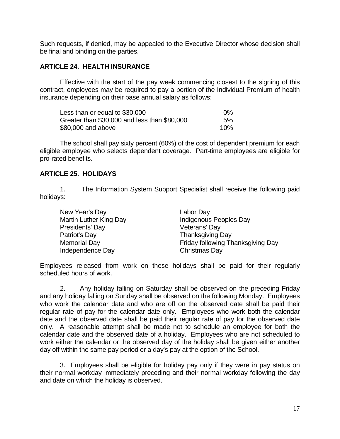Such requests, if denied, may be appealed to the Executive Director whose decision shall be final and binding on the parties.

### <span id="page-19-0"></span>**ARTICLE 24. HEALTH INSURANCE**

Effective with the start of the pay week commencing closest to the signing of this contract, employees may be required to pay a portion of the Individual Premium of health insurance depending on their base annual salary as follows:

| Less than or equal to \$30,000               | $0\%$ |
|----------------------------------------------|-------|
| Greater than \$30,000 and less than \$80,000 | 5%    |
| \$80,000 and above                           | 10%   |

The school shall pay sixty percent (60%) of the cost of dependent premium for each eligible employee who selects dependent coverage. Part-time employees are eligible for pro-rated benefits.

### <span id="page-19-1"></span>**ARTICLE 25. HOLIDAYS**

1. The Information System Support Specialist shall receive the following paid holidays:

| Labor Day                         |
|-----------------------------------|
| Indigenous Peoples Day            |
| Veterans' Day                     |
| <b>Thanksgiving Day</b>           |
| Friday following Thanksgiving Day |
| Christmas Day                     |
|                                   |

Employees released from work on these holidays shall be paid for their regularly scheduled hours of work.

2. Any holiday falling on Saturday shall be observed on the preceding Friday and any holiday falling on Sunday shall be observed on the following Monday. Employees who work the calendar date and who are off on the observed date shall be paid their regular rate of pay for the calendar date only. Employees who work both the calendar date and the observed date shall be paid their regular rate of pay for the observed date only. A reasonable attempt shall be made not to schedule an employee for both the calendar date and the observed date of a holiday. Employees who are not scheduled to work either the calendar or the observed day of the holiday shall be given either another day off within the same pay period or a day's pay at the option of the School.

3. Employees shall be eligible for holiday pay only if they were in pay status on their normal workday immediately preceding and their normal workday following the day and date on which the holiday is observed.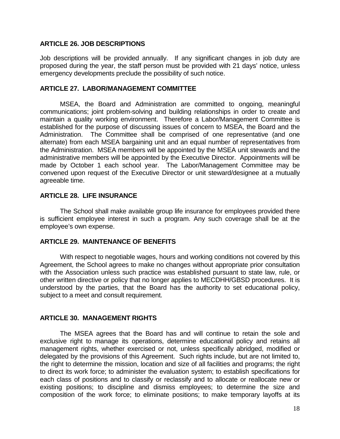### <span id="page-20-0"></span>**ARTICLE 26. JOB DESCRIPTIONS**

Job descriptions will be provided annually. If any significant changes in job duty are proposed during the year, the staff person must be provided with 21 days' notice, unless emergency developments preclude the possibility of such notice.

### <span id="page-20-1"></span>**ARTICLE 27. LABOR/MANAGEMENT COMMITTEE**

MSEA, the Board and Administration are committed to ongoing, meaningful communications; joint problem-solving and building relationships in order to create and maintain a quality working environment. Therefore a Labor/Management Committee is established for the purpose of discussing issues of concern to MSEA, the Board and the Administration. The Committee shall be comprised of one representative (and one alternate) from each MSEA bargaining unit and an equal number of representatives from the Administration. MSEA members will be appointed by the MSEA unit stewards and the administrative members will be appointed by the Executive Director. Appointments will be made by October 1 each school year. The Labor/Management Committee may be convened upon request of the Executive Director or unit steward/designee at a mutually agreeable time.

### <span id="page-20-2"></span>**ARTICLE 28. LIFE INSURANCE**

The School shall make available group life insurance for employees provided there is sufficient employee interest in such a program. Any such coverage shall be at the employee's own expense.

### <span id="page-20-3"></span>**ARTICLE 29. MAINTENANCE OF BENEFITS**

With respect to negotiable wages, hours and working conditions not covered by this Agreement, the School agrees to make no changes without appropriate prior consultation with the Association unless such practice was established pursuant to state law, rule, or other written directive or policy that no longer applies to MECDHH/GBSD procedures. It is understood by the parties, that the Board has the authority to set educational policy, subject to a meet and consult requirement.

### <span id="page-20-4"></span>**ARTICLE 30. MANAGEMENT RIGHTS**

The MSEA agrees that the Board has and will continue to retain the sole and exclusive right to manage its operations, determine educational policy and retains all management rights, whether exercised or not, unless specifically abridged, modified or delegated by the provisions of this Agreement. Such rights include, but are not limited to, the right to determine the mission, location and size of all facilities and programs; the right to direct its work force; to administer the evaluation system; to establish specifications for each class of positions and to classify or reclassify and to allocate or reallocate new or existing positions; to discipline and dismiss employees; to determine the size and composition of the work force; to eliminate positions; to make temporary layoffs at its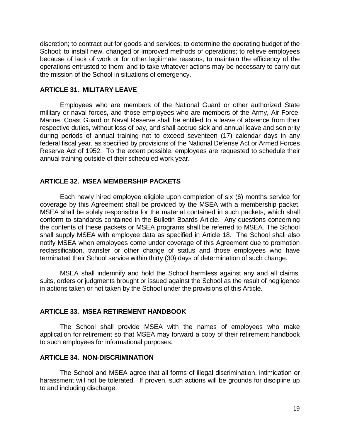discretion; to contract out for goods and services; to determine the operating budget of the School; to install new, changed or improved methods of operations; to relieve employees because of lack of work or for other legitimate reasons; to maintain the efficiency of the operations entrusted to them; and to take whatever actions may be necessary to carry out the mission of the School in situations of emergency.

#### <span id="page-21-0"></span>**ARTICLE 31. MILITARY LEAVE**

Employees who are members of the National Guard or other authorized State military or naval forces, and those employees who are members of the Army, Air Force, Marine, Coast Guard or Naval Reserve shall be entitled to a leave of absence from their respective duties, without loss of pay, and shall accrue sick and annual leave and seniority during periods of annual training not to exceed seventeen (17) calendar days in any federal fiscal year, as specified by provisions of the National Defense Act or Armed Forces Reserve Act of 1952. To the extent possible, employees are requested to schedule their annual training outside of their scheduled work year.

#### <span id="page-21-1"></span>**ARTICLE 32. MSEA MEMBERSHIP PACKETS**

Each newly hired employee eligible upon completion of six (6) months service for coverage by this Agreement shall be provided by the MSEA with a membership packet. MSEA shall be solely responsible for the material contained in such packets, which shall conform to standards contained in the Bulletin Boards Article. Any questions concerning the contents of these packets or MSEA programs shall be referred to MSEA. The School shall supply MSEA with employee data as specified in Article 18. The School shall also notify MSEA when employees come under coverage of this Agreement due to promotion reclassification, transfer or other change of status and those employees who have terminated their School service within thirty (30) days of determination of such change.

MSEA shall indemnify and hold the School harmless against any and all claims, suits, orders or judgments brought or issued against the School as the result of negligence in actions taken or not taken by the School under the provisions of this Article.

#### <span id="page-21-2"></span>**ARTICLE 33. MSEA RETIREMENT HANDBOOK**

The School shall provide MSEA with the names of employees who make application for retirement so that MSEA may forward a copy of their retirement handbook to such employees for informational purposes.

#### <span id="page-21-3"></span>**ARTICLE 34. NON-DISCRIMINATION**

The School and MSEA agree that all forms of illegal discrimination, intimidation or harassment will not be tolerated. If proven, such actions will be grounds for discipline up to and including discharge.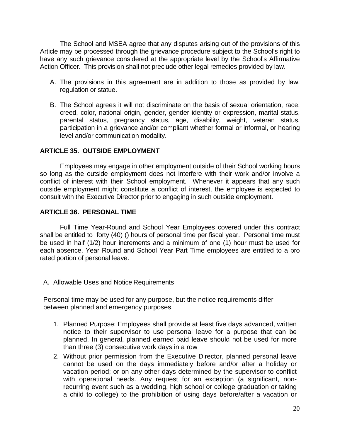The School and MSEA agree that any disputes arising out of the provisions of this Article may be processed through the grievance procedure subject to the School's right to have any such grievance considered at the appropriate level by the School's Affirmative Action Officer. This provision shall not preclude other legal remedies provided by law.

- A. The provisions in this agreement are in addition to those as provided by law, regulation or statue.
- B. The School agrees it will not discriminate on the basis of sexual orientation, race, creed, color, national origin, gender, gender identity or expression, marital status, parental status, pregnancy status, age, disability, weight, veteran status, participation in a grievance and/or compliant whether formal or informal, or hearing level and/or communication modality.

## <span id="page-22-0"></span>**ARTICLE 35. OUTSIDE EMPLOYMENT**

Employees may engage in other employment outside of their School working hours so long as the outside employment does not interfere with their work and/or involve a conflict of interest with their School employment. Whenever it appears that any such outside employment might constitute a conflict of interest, the employee is expected to consult with the Executive Director prior to engaging in such outside employment.

### <span id="page-22-1"></span>**ARTICLE 36. PERSONAL TIME**

Full Time Year-Round and School Year Employees covered under this contract shall be entitled to forty (40) () hours of personal time per fiscal year. Personal time must be used in half (1/2) hour increments and a minimum of one (1) hour must be used for each absence. Year Round and School Year Part Time employees are entitled to a pro rated portion of personal leave.

A. Allowable Uses and Notice Requirements

Personal time may be used for any purpose, but the notice requirements differ between planned and emergency purposes.

- 1. Planned Purpose: Employees shall provide at least five days advanced, written notice to their supervisor to use personal leave for a purpose that can be planned. In general, planned earned paid leave should not be used for more than three (3) consecutive work days in a row
- 2. Without prior permission from the Executive Director, planned personal leave cannot be used on the days immediately before and/or after a holiday or vacation period; or on any other days determined by the supervisor to conflict with operational needs. Any request for an exception (a significant, nonrecurring event such as a wedding, high school or college graduation or taking a child to college) to the prohibition of using days before/after a vacation or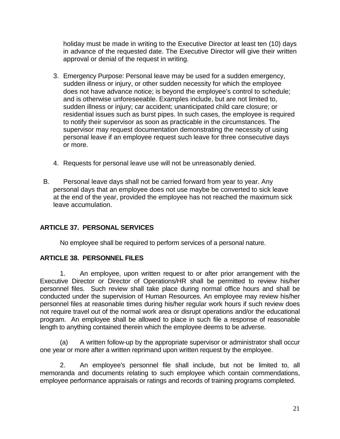holiday must be made in writing to the Executive Director at least ten (10) days in advance of the requested date. The Executive Director will give their written approval or denial of the request in writing.

- 3. Emergency Purpose: Personal leave may be used for a sudden emergency, sudden illness or injury, or other sudden necessity for which the employee does not have advance notice; is beyond the employee's control to schedule; and is otherwise unforeseeable. Examples include, but are not limited to, sudden illness or injury; car accident; unanticipated child care closure; or residential issues such as burst pipes. In such cases, the employee is required to notify their supervisor as soon as practicable in the circumstances. The supervisor may request documentation demonstrating the necessity of using personal leave if an employee request such leave for three consecutive days or more.
- 4. Requests for personal leave use will not be unreasonably denied.
- B. Personal leave days shall not be carried forward from year to year. Any personal days that an employee does not use maybe be converted to sick leave at the end of the year, provided the employee has not reached the maximum sick leave accumulation.

## <span id="page-23-0"></span>**ARTICLE 37. PERSONAL SERVICES**

No employee shall be required to perform services of a personal nature.

## <span id="page-23-1"></span>**ARTICLE 38. PERSONNEL FILES**

1. An employee, upon written request to or after prior arrangement with the Executive Director or Director of Operations/HR shall be permitted to review his/her personnel files. Such review shall take place during normal office hours and shall be conducted under the supervision of Human Resources. An employee may review his/her personnel files at reasonable times during his/her regular work hours if such review does not require travel out of the normal work area or disrupt operations and/or the educational program. An employee shall be allowed to place in such file a response of reasonable length to anything contained therein which the employee deems to be adverse.

(a) A written follow-up by the appropriate supervisor or administrator shall occur one year or more after a written reprimand upon written request by the employee.

2. An employee's personnel file shall include, but not be limited to, all memoranda and documents relating to such employee which contain commendations, employee performance appraisals or ratings and records of training programs completed.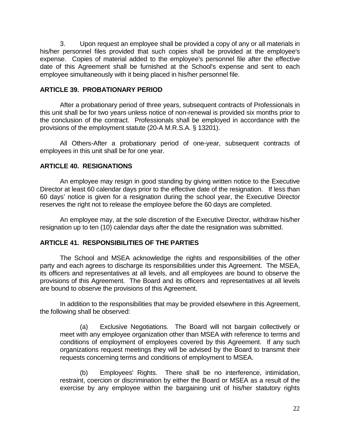3. Upon request an employee shall be provided a copy of any or all materials in his/her personnel files provided that such copies shall be provided at the employee's expense. Copies of material added to the employee's personnel file after the effective date of this Agreement shall be furnished at the School's expense and sent to each employee simultaneously with it being placed in his/her personnel file.

## <span id="page-24-0"></span>**ARTICLE 39. PROBATIONARY PERIOD**

After a probationary period of three years, subsequent contracts of Professionals in this unit shall be for two years unless notice of non-renewal is provided six months prior to the conclusion of the contract. Professionals shall be employed in accordance with the provisions of the employment statute (20-A M.R.S.A. § 13201).

All Others-After a probationary period of one-year, subsequent contracts of employees in this unit shall be for one year.

## <span id="page-24-1"></span>**ARTICLE 40. RESIGNATIONS**

An employee may resign in good standing by giving written notice to the Executive Director at least 60 calendar days prior to the effective date of the resignation. If less than 60 days' notice is given for a resignation during the school year, the Executive Director reserves the right not to release the employee before the 60 days are completed.

An employee may, at the sole discretion of the Executive Director, withdraw his/her resignation up to ten (10) calendar days after the date the resignation was submitted.

### <span id="page-24-2"></span>**ARTICLE 41. RESPONSIBILITIES OF THE PARTIES**

The School and MSEA acknowledge the rights and responsibilities of the other party and each agrees to discharge its responsibilities under this Agreement. The MSEA, its officers and representatives at all levels, and all employees are bound to observe the provisions of this Agreement. The Board and its officers and representatives at all levels are bound to observe the provisions of this Agreement.

In addition to the responsibilities that may be provided elsewhere in this Agreement, the following shall be observed:

(a) Exclusive Negotiations. The Board will not bargain collectively or meet with any employee organization other than MSEA with reference to terms and conditions of employment of employees covered by this Agreement. If any such organizations request meetings they will be advised by the Board to transmit their requests concerning terms and conditions of employment to MSEA.

(b) Employees' Rights. There shall be no interference, intimidation, restraint, coercion or discrimination by either the Board or MSEA as a result of the exercise by any employee within the bargaining unit of his/her statutory rights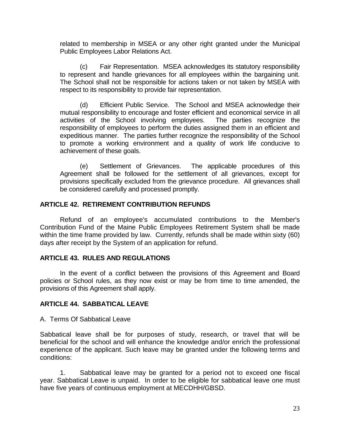related to membership in MSEA or any other right granted under the Municipal Public Employees Labor Relations Act.

(c) Fair Representation. MSEA acknowledges its statutory responsibility to represent and handle grievances for all employees within the bargaining unit. The School shall not be responsible for actions taken or not taken by MSEA with respect to its responsibility to provide fair representation.

(d) Efficient Public Service. The School and MSEA acknowledge their mutual responsibility to encourage and foster efficient and economical service in all activities of the School involving employees. The parties recognize the responsibility of employees to perform the duties assigned them in an efficient and expeditious manner. The parties further recognize the responsibility of the School to promote a working environment and a quality of work life conducive to achievement of these goals.

(e) Settlement of Grievances. The applicable procedures of this Agreement shall be followed for the settlement of all grievances, except for provisions specifically excluded from the grievance procedure. All grievances shall be considered carefully and processed promptly.

### <span id="page-25-0"></span>**ARTICLE 42. RETIREMENT CONTRIBUTION REFUNDS**

Refund of an employee's accumulated contributions to the Member's Contribution Fund of the Maine Public Employees Retirement System shall be made within the time frame provided by law. Currently, refunds shall be made within sixty (60) days after receipt by the System of an application for refund.

### <span id="page-25-1"></span>**ARTICLE 43. RULES AND REGULATIONS**

In the event of a conflict between the provisions of this Agreement and Board policies or School rules, as they now exist or may be from time to time amended, the provisions of this Agreement shall apply.

### <span id="page-25-2"></span>**ARTICLE 44. SABBATICAL LEAVE**

A. Terms Of Sabbatical Leave

Sabbatical leave shall be for purposes of study, research, or travel that will be beneficial for the school and will enhance the knowledge and/or enrich the professional experience of the applicant. Such leave may be granted under the following terms and conditions:

1. Sabbatical leave may be granted for a period not to exceed one fiscal year. Sabbatical Leave is unpaid. In order to be eligible for sabbatical leave one must have five years of continuous employment at MECDHH/GBSD.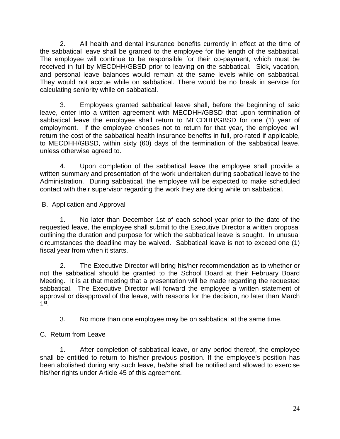2. All health and dental insurance benefits currently in effect at the time of the sabbatical leave shall be granted to the employee for the length of the sabbatical. The employee will continue to be responsible for their co-payment, which must be received in full by MECDHH/GBSD prior to leaving on the sabbatical. Sick, vacation, and personal leave balances would remain at the same levels while on sabbatical. They would not accrue while on sabbatical. There would be no break in service for calculating seniority while on sabbatical.

3. Employees granted sabbatical leave shall, before the beginning of said leave, enter into a written agreement with MECDHH/GBSD that upon termination of sabbatical leave the employee shall return to MECDHH/GBSD for one (1) year of employment. If the employee chooses not to return for that year, the employee will return the cost of the sabbatical health insurance benefits in full, pro-rated if applicable, to MECDHH/GBSD, within sixty (60) days of the termination of the sabbatical leave, unless otherwise agreed to.

4. Upon completion of the sabbatical leave the employee shall provide a written summary and presentation of the work undertaken during sabbatical leave to the Administration. During sabbatical, the employee will be expected to make scheduled contact with their supervisor regarding the work they are doing while on sabbatical.

B. Application and Approval

1. No later than December 1st of each school year prior to the date of the requested leave, the employee shall submit to the Executive Director a written proposal outlining the duration and purpose for which the sabbatical leave is sought. In unusual circumstances the deadline may be waived. Sabbatical leave is not to exceed one (1) fiscal year from when it starts.

2. The Executive Director will bring his/her recommendation as to whether or not the sabbatical should be granted to the School Board at their February Board Meeting. It is at that meeting that a presentation will be made regarding the requested sabbatical. The Executive Director will forward the employee a written statement of approval or disapproval of the leave, with reasons for the decision, no later than March  $1<sup>st</sup>$ .

3. No more than one employee may be on sabbatical at the same time.

## C. Return from Leave

1. After completion of sabbatical leave, or any period thereof, the employee shall be entitled to return to his/her previous position. If the employee's position has been abolished during any such leave, he/she shall be notified and allowed to exercise his/her rights under Article 45 of this agreement.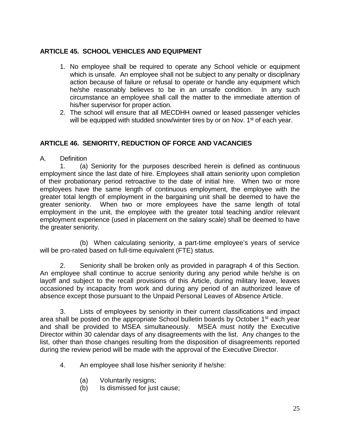## <span id="page-27-0"></span>**ARTICLE 45. SCHOOL VEHICLES AND EQUIPMENT**

- 1. No employee shall be required to operate any School vehicle or equipment which is unsafe. An employee shall not be subject to any penalty or disciplinary action because of failure or refusal to operate or handle any equipment which he/she reasonably believes to be in an unsafe condition. In any such circumstance an employee shall call the matter to the immediate attention of his/her supervisor for proper action.
- 2. The school will ensure that all MECDHH owned or leased passenger vehicles will be equipped with studded snow/winter tires by or on Nov.  $1<sup>st</sup>$  of each year.

## <span id="page-27-1"></span>**ARTICLE 46. SENIORITY, REDUCTION OF FORCE AND VACANCIES**

A. Definition

1. (a) Seniority for the purposes described herein is defined as continuous employment since the last date of hire. Employees shall attain seniority upon completion of their probationary period retroactive to the date of initial hire. When two or more employees have the same length of continuous employment, the employee with the greater total length of employment in the bargaining unit shall be deemed to have the greater seniority. When two or more employees have the same length of total employment in the unit, the employee with the greater total teaching and/or relevant employment experience (used in placement on the salary scale) shall be deemed to have the greater seniority.

(b) When calculating seniority, a part-time employee's years of service will be pro-rated based on full-time equivalent (FTE) status.

2. Seniority shall be broken only as provided in paragraph 4 of this Section. An employee shall continue to accrue seniority during any period while he/she is on layoff and subject to the recall provisions of this Article, during military leave, leaves occasioned by incapacity from work and during any period of an authorized leave of absence except those pursuant to the Unpaid Personal Leaves of Absence Article.

3. Lists of employees by seniority in their current classifications and impact area shall be posted on the appropriate School bulletin boards by October 1<sup>st</sup> each year and shall be provided to MSEA simultaneously. MSEA must notify the Executive Director within 30 calendar days of any disagreements with the list. Any changes to the list, other than those changes resulting from the disposition of disagreements reported during the review period will be made with the approval of the Executive Director.

- 4. An employee shall lose his/her seniority if he/she:
	- (a) Voluntarily resigns;
	- (b) Is dismissed for just cause;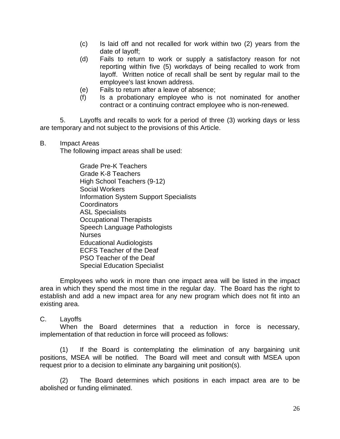- (c) Is laid off and not recalled for work within two (2) years from the date of layoff;
- (d) Fails to return to work or supply a satisfactory reason for not reporting within five (5) workdays of being recalled to work from layoff. Written notice of recall shall be sent by regular mail to the employee's last known address.
- (e) Fails to return after a leave of absence;
- (f) Is a probationary employee who is not nominated for another contract or a continuing contract employee who is non-renewed.

5. Layoffs and recalls to work for a period of three (3) working days or less are temporary and not subject to the provisions of this Article.

B. Impact Areas

The following impact areas shall be used:

Grade Pre-K Teachers Grade K-8 Teachers High School Teachers (9-12) Social Workers Information System Support Specialists **Coordinators** ASL Specialists Occupational Therapists Speech Language Pathologists Nurses Educational Audiologists ECFS Teacher of the Deaf PSO Teacher of the Deaf Special Education Specialist

Employees who work in more than one impact area will be listed in the impact area in which they spend the most time in the regular day. The Board has the right to establish and add a new impact area for any new program which does not fit into an existing area.

#### C. Layoffs

When the Board determines that a reduction in force is necessary, implementation of that reduction in force will proceed as follows:

(1) If the Board is contemplating the elimination of any bargaining unit positions, MSEA will be notified. The Board will meet and consult with MSEA upon request prior to a decision to eliminate any bargaining unit position(s).

(2) The Board determines which positions in each impact area are to be abolished or funding eliminated.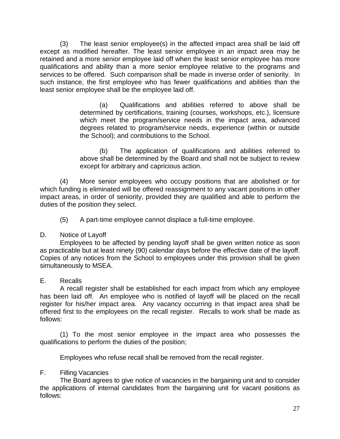(3) The least senior employee(s) in the affected impact area shall be laid off except as modified hereafter. The least senior employee in an impact area may be retained and a more senior employee laid off when the least senior employee has more qualifications and ability than a more senior employee relative to the programs and services to be offered. Such comparison shall be made in inverse order of seniority. In such instance, the first employee who has fewer qualifications and abilities than the least senior employee shall be the employee laid off.

> (a) Qualifications and abilities referred to above shall be determined by certifications, training (courses, workshops, etc.), licensure which meet the program/service needs in the impact area, advanced degrees related to program/service needs, experience (within or outside the School); and contributions to the School.

> (b) The application of qualifications and abilities referred to above shall be determined by the Board and shall not be subject to review except for arbitrary and capricious action.

(4) More senior employees who occupy positions that are abolished or for which funding is eliminated will be offered reassignment to any vacant positions in other impact areas, in order of seniority, provided they are qualified and able to perform the duties of the position they select.

(5) A part-time employee cannot displace a full-time employee.

### D. Notice of Layoff

Employees to be affected by pending layoff shall be given written notice as soon as practicable but at least ninety (90) calendar days before the effective date of the layoff. Copies of any notices from the School to employees under this provision shall be given simultaneously to MSEA.

## E. Recalls

A recall register shall be established for each impact from which any employee has been laid off. An employee who is notified of layoff will be placed on the recall register for his/her impact area. Any vacancy occurring in that impact area shall be offered first to the employees on the recall register. Recalls to work shall be made as follows:

(1) To the most senior employee in the impact area who possesses the qualifications to perform the duties of the position;

Employees who refuse recall shall be removed from the recall register.

## F. Filling Vacancies

The Board agrees to give notice of vacancies in the bargaining unit and to consider the applications of internal candidates from the bargaining unit for vacant positions as follows: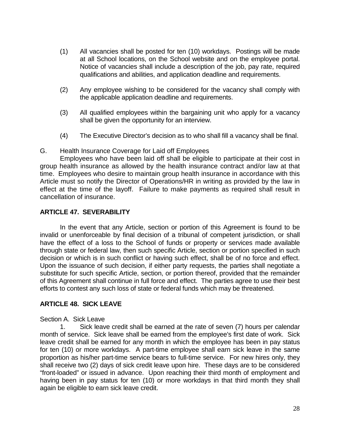- (1) All vacancies shall be posted for ten (10) workdays. Postings will be made at all School locations, on the School website and on the employee portal. Notice of vacancies shall include a description of the job, pay rate, required qualifications and abilities, and application deadline and requirements.
- (2) Any employee wishing to be considered for the vacancy shall comply with the applicable application deadline and requirements.
- (3) All qualified employees within the bargaining unit who apply for a vacancy shall be given the opportunity for an interview.
- (4) The Executive Director's decision as to who shall fill a vacancy shall be final.

### G. Health Insurance Coverage for Laid off Employees

Employees who have been laid off shall be eligible to participate at their cost in group health insurance as allowed by the health insurance contract and/or law at that time. Employees who desire to maintain group health insurance in accordance with this Article must so notify the Director of Operations/HR in writing as provided by the law in effect at the time of the layoff. Failure to make payments as required shall result in cancellation of insurance.

## <span id="page-30-0"></span>**ARTICLE 47. SEVERABILITY**

In the event that any Article, section or portion of this Agreement is found to be invalid or unenforceable by final decision of a tribunal of competent jurisdiction, or shall have the effect of a loss to the School of funds or property or services made available through state or federal law, then such specific Article, section or portion specified in such decision or which is in such conflict or having such effect, shall be of no force and effect. Upon the issuance of such decision, if either party requests, the parties shall negotiate a substitute for such specific Article, section, or portion thereof, provided that the remainder of this Agreement shall continue in full force and effect. The parties agree to use their best efforts to contest any such loss of state or federal funds which may be threatened.

### <span id="page-30-1"></span>**ARTICLE 48. SICK LEAVE**

### Section A. Sick Leave

1. Sick leave credit shall be earned at the rate of seven (7) hours per calendar month of service. Sick leave shall be earned from the employee's first date of work. Sick leave credit shall be earned for any month in which the employee has been in pay status for ten (10) or more workdays. A part-time employee shall earn sick leave in the same proportion as his/her part-time service bears to full-time service. For new hires only, they shall receive two (2) days of sick credit leave upon hire. These days are to be considered "front-loaded" or issued in advance. Upon reaching their third month of employment and having been in pay status for ten (10) or more workdays in that third month they shall again be eligible to earn sick leave credit.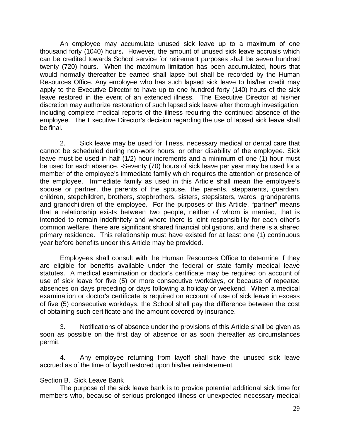An employee may accumulate unused sick leave up to a maximum of one thousand forty (1040) hours**.** However, the amount of unused sick leave accruals which can be credited towards School service for retirement purposes shall be seven hundred twenty (720) hours. When the maximum limitation has been accumulated, hours that would normally thereafter be earned shall lapse but shall be recorded by the Human Resources Office. Any employee who has such lapsed sick leave to his/her credit may apply to the Executive Director to have up to one hundred forty (140) hours of the sick leave restored in the event of an extended illness. The Executive Director at his/her discretion may authorize restoration of such lapsed sick leave after thorough investigation, including complete medical reports of the illness requiring the continued absence of the employee.The Executive Director's decision regarding the use of lapsed sick leave shall be final.

2. Sick leave may be used for illness, necessary medical or dental care that cannot be scheduled during non-work hours, or other disability of the employee. Sick leave must be used in half (1/2) hour increments and a minimum of one (1) hour must be used for each absence. -Seventy (70) hours of sick leave per year may be used for a member of the employee's immediate family which requires the attention or presence of the employee. Immediate family as used in this Article shall mean the employee's spouse or partner, the parents of the spouse, the parents, stepparents, guardian, children, stepchildren, brothers, stepbrothers, sisters, stepsisters, wards, grandparents and grandchildren of the employee.For the purposes of this Article, "partner" means that a relationship exists between two people, neither of whom is married, that is intended to remain indefinitely and where there is joint responsibility for each other's common welfare, there are significant shared financial obligations, and there is a shared primary residence. This relationship must have existed for at least one (1) continuous year before benefits under this Article may be provided.

Employees shall consult with the Human Resources Office to determine if they are eligible for benefits available under the federal or state family medical leave statutes. A medical examination or doctor's certificate may be required on account of use of sick leave for five (5) or more consecutive workdays, or because of repeated absences on days preceding or days following a holiday or weekend. When a medical examination or doctor's certificate is required on account of use of sick leave in excess of five (5) consecutive workdays, the School shall pay the difference between the cost of obtaining such certificate and the amount covered by insurance.

3. Notifications of absence under the provisions of this Article shall be given as soon as possible on the first day of absence or as soon thereafter as circumstances permit.

4. Any employee returning from layoff shall have the unused sick leave accrued as of the time of layoff restored upon his/her reinstatement.

### Section B. Sick Leave Bank

The purpose of the sick leave bank is to provide potential additional sick time for members who, because of serious prolonged illness or unexpected necessary medical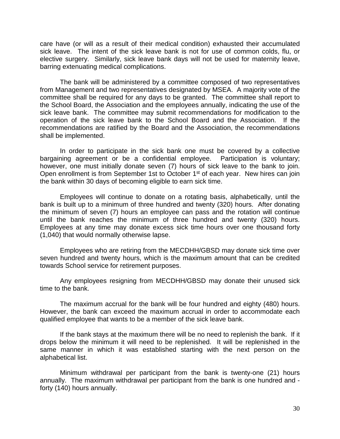care have (or will as a result of their medical condition) exhausted their accumulated sick leave. The intent of the sick leave bank is not for use of common colds, flu, or elective surgery. Similarly, sick leave bank days will not be used for maternity leave, barring extenuating medical complications.

The bank will be administered by a committee composed of two representatives from Management and two representatives designated by MSEA. A majority vote of the committee shall be required for any days to be granted. The committee shall report to the School Board, the Association and the employees annually, indicating the use of the sick leave bank. The committee may submit recommendations for modification to the operation of the sick leave bank to the School Board and the Association. If the recommendations are ratified by the Board and the Association, the recommendations shall be implemented.

In order to participate in the sick bank one must be covered by a collective bargaining agreement or be a confidential employee. Participation is voluntary; however, one must initially donate seven (7) hours of sick leave to the bank to join. Open enrollment is from September 1st to October 1st of each year. New hires can join the bank within 30 days of becoming eligible to earn sick time.

Employees will continue to donate on a rotating basis, alphabetically, until the bank is built up to a minimum of three hundred and twenty (320) hours. After donating the minimum of seven (7) hours an employee can pass and the rotation will continue until the bank reaches the minimum of three hundred and twenty (320) hours. Employees at any time may donate excess sick time hours over one thousand forty (1,040) that would normally otherwise lapse.

Employees who are retiring from the MECDHH/GBSD may donate sick time over seven hundred and twenty hours, which is the maximum amount that can be credited towards School service for retirement purposes.

Any employees resigning from MECDHH/GBSD may donate their unused sick time to the bank.

The maximum accrual for the bank will be four hundred and eighty (480) hours. However, the bank can exceed the maximum accrual in order to accommodate each qualified employee that wants to be a member of the sick leave bank.

If the bank stays at the maximum there will be no need to replenish the bank. If it drops below the minimum it will need to be replenished. It will be replenished in the same manner in which it was established starting with the next person on the alphabetical list.

Minimum withdrawal per participant from the bank is twenty-one (21) hours annually. The maximum withdrawal per participant from the bank is one hundred and forty (140) hours annually.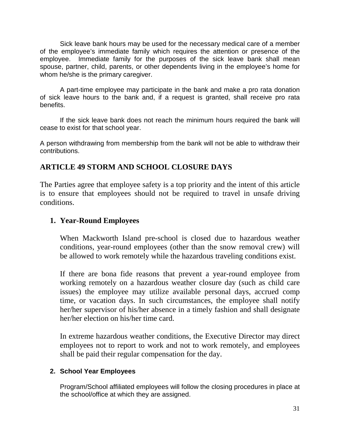Sick leave bank hours may be used for the necessary medical care of a member of the employee's immediate family which requires the attention or presence of the employee. Immediate family for the purposes of the sick leave bank shall mean spouse, partner, child, parents, or other dependents living in the employee's home for whom he/she is the primary caregiver.

A part-time employee may participate in the bank and make a pro rata donation of sick leave hours to the bank and, if a request is granted, shall receive pro rata benefits.

If the sick leave bank does not reach the minimum hours required the bank will cease to exist for that school year.

A person withdrawing from membership from the bank will not be able to withdraw their contributions.

## **ARTICLE 49 STORM AND SCHOOL CLOSURE DAYS**

The Parties agree that employee safety is a top priority and the intent of this article is to ensure that employees should not be required to travel in unsafe driving conditions.

## **1. Year-Round Employees**

When Mackworth Island pre-school is closed due to hazardous weather conditions, year-round employees (other than the snow removal crew) will be allowed to work remotely while the hazardous traveling conditions exist.

If there are bona fide reasons that prevent a year-round employee from working remotely on a hazardous weather closure day (such as child care issues) the employee may utilize available personal days, accrued comp time, or vacation days. In such circumstances, the employee shall notify her/her supervisor of his/her absence in a timely fashion and shall designate her/her election on his/her time card.

In extreme hazardous weather conditions, the Executive Director may direct employees not to report to work and not to work remotely, and employees shall be paid their regular compensation for the day.

## **2. School Year Employees**

Program/School affiliated employees will follow the closing procedures in place at the school/office at which they are assigned.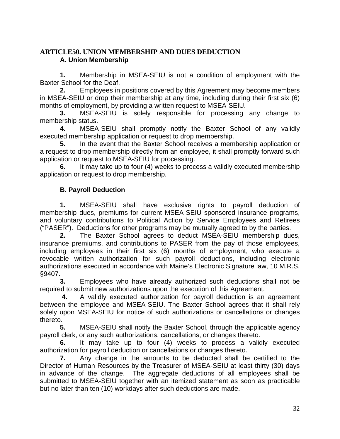## <span id="page-34-0"></span>**ARTICLE50. UNION MEMBERSHIP AND DUES DEDUCTION A. Union Membership**

**1.** Membership in MSEA-SEIU is not a condition of employment with the Baxter School for the Deaf.

**2.** Employees in positions covered by this Agreement may become members in MSEA-SEIU or drop their membership at any time, including during their first six (6) months of employment, by providing a written request to MSEA-SEIU.

**3.** MSEA-SEIU is solely responsible for processing any change to membership status.

**4.** MSEA-SEIU shall promptly notify the Baxter School of any validly executed membership application or request to drop membership.

**5.** In the event that the Baxter School receives a membership application or a request to drop membership directly from an employee, it shall promptly forward such application or request to MSEA-SEIU for processing.

**6.** It may take up to four (4) weeks to process a validly executed membership application or request to drop membership.

## **B. Payroll Deduction**

 **1.** MSEA-SEIU shall have exclusive rights to payroll deduction of membership dues, premiums for current MSEA-SEIU sponsored insurance programs, and voluntary contributions to Political Action by Service Employees and Retirees ("PASER"). Deductions for other programs may be mutually agreed to by the parties.

 **2.** The Baxter School agrees to deduct MSEA-SEIU membership dues, insurance premiums, and contributions to PASER from the pay of those employees, including employees in their first six (6) months of employment, who execute a revocable written authorization for such payroll deductions, including electronic authorizations executed in accordance with Maine's Electronic Signature law, 10 M.R.S. §9407.

**3.** Employees who have already authorized such deductions shall not be required to submit new authorizations upon the execution of this Agreement.

**4.** A validly executed authorization for payroll deduction is an agreement between the employee and MSEA-SEIU. The Baxter School agrees that it shall rely solely upon MSEA-SEIU for notice of such authorizations or cancellations or changes thereto.

**5.** MSEA-SEIU shall notify the Baxter School, through the applicable agency payroll clerk, or any such authorizations, cancellations, or changes thereto.

**6.** It may take up to four (4) weeks to process a validly executed authorization for payroll deduction or cancellations or changes thereto.

**7.** Any change in the amounts to be deducted shall be certified to the Director of Human Resources by the Treasurer of MSEA-SEIU at least thirty (30) days in advance of the change. The aggregate deductions of all employees shall be submitted to MSEA-SEIU together with an itemized statement as soon as practicable but no later than ten (10) workdays after such deductions are made.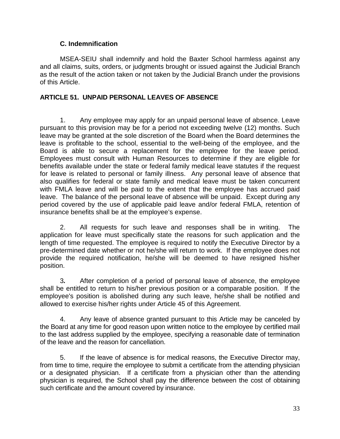## **C. Indemnification**

 MSEA-SEIU shall indemnify and hold the Baxter School harmless against any and all claims, suits, orders, or judgments brought or issued against the Judicial Branch as the result of the action taken or not taken by the Judicial Branch under the provisions of this Article.

## <span id="page-35-0"></span>**ARTICLE 51. UNPAID PERSONAL LEAVES OF ABSENCE**

1. Any employee may apply for an unpaid personal leave of absence. Leave pursuant to this provision may be for a period not exceeding twelve (12) months. Such leave may be granted at the sole discretion of the Board when the Board determines the leave is profitable to the school, essential to the well-being of the employee, and the Board is able to secure a replacement for the employee for the leave period. Employees must consult with Human Resources to determine if they are eligible for benefits available under the state or federal family medical leave statutes if the request for leave is related to personal or family illness. Any personal leave of absence that also qualifies for federal or state family and medical leave must be taken concurrent with FMLA leave and will be paid to the extent that the employee has accrued paid leave. The balance of the personal leave of absence will be unpaid. Except during any period covered by the use of applicable paid leave and/or federal FMLA, retention of insurance benefits shall be at the employee's expense.

2. All requests for such leave and responses shall be in writing. The application for leave must specifically state the reasons for such application and the length of time requested. The employee is required to notify the Executive Director by a pre-determined date whether or not he/she will return to work. If the employee does not provide the required notification, he/she will be deemed to have resigned his/her position.

3*.* After completion of a period of personal leave of absence, the employee shall be entitled to return to his/her previous position or a comparable position. If the employee's position is abolished during any such leave, he/she shall be notified and allowed to exercise his/her rights under Article 45 of this Agreement.

4. Any leave of absence granted pursuant to this Article may be canceled by the Board at any time for good reason upon written notice to the employee by certified mail to the last address supplied by the employee, specifying a reasonable date of termination of the leave and the reason for cancellation.

5. If the leave of absence is for medical reasons, the Executive Director may, from time to time, require the employee to submit a certificate from the attending physician or a designated physician. If a certificate from a physician other than the attending physician is required, the School shall pay the difference between the cost of obtaining such certificate and the amount covered by insurance.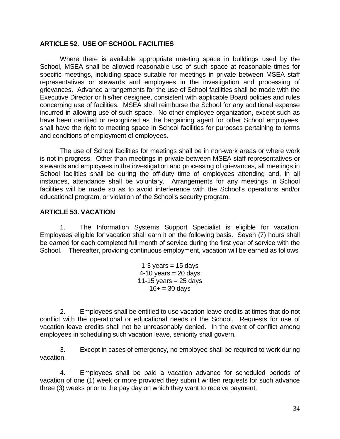#### <span id="page-36-0"></span>**ARTICLE 52. USE OF SCHOOL FACILITIES**

Where there is available appropriate meeting space in buildings used by the School, MSEA shall be allowed reasonable use of such space at reasonable times for specific meetings, including space suitable for meetings in private between MSEA staff representatives or stewards and employees in the investigation and processing of grievances. Advance arrangements for the use of School facilities shall be made with the Executive Director or his/her designee, consistent with applicable Board policies and rules concerning use of facilities. MSEA shall reimburse the School for any additional expense incurred in allowing use of such space. No other employee organization, except such as have been certified or recognized as the bargaining agent for other School employees, shall have the right to meeting space in School facilities for purposes pertaining to terms and conditions of employment of employees.

The use of School facilities for meetings shall be in non-work areas or where work is not in progress. Other than meetings in private between MSEA staff representatives or stewards and employees in the investigation and processing of grievances, all meetings in School facilities shall be during the off-duty time of employees attending and, in all instances, attendance shall be voluntary. Arrangements for any meetings in School facilities will be made so as to avoid interference with the School's operations and/or educational program, or violation of the School's security program.

#### <span id="page-36-1"></span>**ARTICLE 53. VACATION**

1. The Information Systems Support Specialist is eligible for vacation. Employees eligible for vacation shall earn it on the following basis. Seven (7) hours shall be earned for each completed full month of service during the first year of service with the School. Thereafter, providing continuous employment, vacation will be earned as follows

> 1-3 years  $= 15$  days  $4-10$  years = 20 days 11-15 years  $= 25$  days  $16 + 30 \text{ days}$

2. Employees shall be entitled to use vacation leave credits at times that do not conflict with the operational or educational needs of the School. Requests for use of vacation leave credits shall not be unreasonably denied. In the event of conflict among employees in scheduling such vacation leave, seniority shall govern.

3. Except in cases of emergency, no employee shall be required to work during vacation.

4. Employees shall be paid a vacation advance for scheduled periods of vacation of one (1) week or more provided they submit written requests for such advance three (3) weeks prior to the pay day on which they want to receive payment.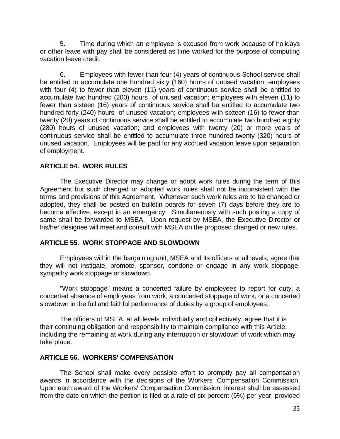5. Time during which an employee is excused from work because of holidays or other leave with pay shall be considered as time worked for the purpose of computing vacation leave credit.

6. Employees with fewer than four (4) years of continuous School service shall be entitled to accumulate one hundred sixty (160) hours of unused vacation; employees with four (4) to fewer than eleven (11) years of continuous service shall be entitled to accumulate two hundred (200) hours of unused vacation; employees with eleven (11) to fewer than sixteen (16) years of continuous service shall be entitled to accumulate two hundred forty (240) hours of unused vacation; employees with sixteen (16) to fewer than twenty (20) years of continuous service shall be entitled to accumulate two hundred eighty (280) hours of unused vacation; and employees with twenty (20) or more years of continuous service shall be entitled to accumulate three hundred twenty (320) hours of unused vacation. Employees will be paid for any accrued vacation leave upon separation of employment.

### <span id="page-37-0"></span>**ARTICLE 54. WORK RULES**

The Executive Director may change or adopt work rules during the term of this Agreement but such changed or adopted work rules shall not be inconsistent with the terms and provisions of this Agreement. Whenever such work rules are to be changed or adopted, they shall be posted on bulletin boards for seven (7) days before they are to become effective, except in an emergency. Simultaneously with such posting a copy of same shall be forwarded to MSEA. Upon request by MSEA, the Executive Director or his/her designee will meet and consult with MSEA on the proposed changed or new rules.

#### <span id="page-37-1"></span>**ARTICLE 55. WORK STOPPAGE AND SLOWDOWN**

Employees within the bargaining unit, MSEA and its officers at all levels, agree that they will not instigate, promote, sponsor, condone or engage in any work stoppage, sympathy work stoppage or slowdown.

"Work stoppage" means a concerted failure by employees to report for duty, a concerted absence of employees from work, a concerted stoppage of work, or a concerted slowdown in the full and faithful performance of duties by a group of employees.

The officers of MSEA, at all levels individually and collectively, agree that it is their continuing obligation and responsibility to maintain compliance with this Article, including the remaining at work during any interruption or slowdown of work which may take place.

#### <span id="page-37-2"></span>**ARTICLE 56. WORKERS' COMPENSATION**

The School shall make every possible effort to promptly pay all compensation awards in accordance with the decisions of the Workers' Compensation Commission. Upon each award of the Workers' Compensation Commission, interest shall be assessed from the date on which the petition is filed at a rate of six percent (6%) per year, provided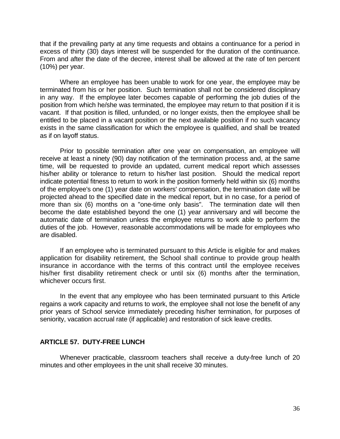that if the prevailing party at any time requests and obtains a continuance for a period in excess of thirty (30) days interest will be suspended for the duration of the continuance. From and after the date of the decree, interest shall be allowed at the rate of ten percent (10%) per year.

Where an employee has been unable to work for one year, the employee may be terminated from his or her position. Such termination shall not be considered disciplinary in any way. If the employee later becomes capable of performing the job duties of the position from which he/she was terminated, the employee may return to that position if it is vacant. If that position is filled, unfunded, or no longer exists, then the employee shall be entitled to be placed in a vacant position or the next available position if no such vacancy exists in the same classification for which the employee is qualified, and shall be treated as if on layoff status.

Prior to possible termination after one year on compensation, an employee will receive at least a ninety (90) day notification of the termination process and, at the same time, will be requested to provide an updated, current medical report which assesses his/her ability or tolerance to return to his/her last position. Should the medical report indicate potential fitness to return to work in the position formerly held within six (6) months of the employee's one (1) year date on workers' compensation, the termination date will be projected ahead to the specified date in the medical report, but in no case, for a period of more than six (6) months on a "one-time only basis". The termination date will then become the date established beyond the one (1) year anniversary and will become the automatic date of termination unless the employee returns to work able to perform the duties of the job. However, reasonable accommodations will be made for employees who are disabled.

If an employee who is terminated pursuant to this Article is eligible for and makes application for disability retirement, the School shall continue to provide group health insurance in accordance with the terms of this contract until the employee receives his/her first disability retirement check or until six (6) months after the termination, whichever occurs first.

In the event that any employee who has been terminated pursuant to this Article regains a work capacity and returns to work, the employee shall not lose the benefit of any prior years of School service immediately preceding his/her termination, for purposes of seniority, vacation accrual rate (if applicable) and restoration of sick leave credits.

## <span id="page-38-0"></span>**ARTICLE 57. DUTY-FREE LUNCH**

Whenever practicable, classroom teachers shall receive a duty-free lunch of 20 minutes and other employees in the unit shall receive 30 minutes.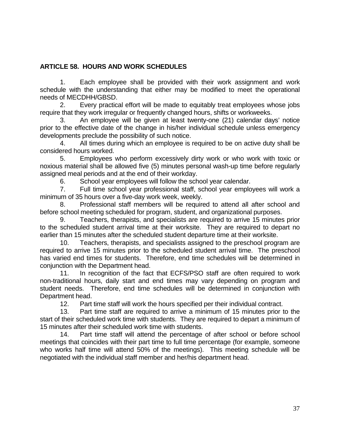## <span id="page-39-0"></span>**ARTICLE 58. HOURS AND WORK SCHEDULES**

1. Each employee shall be provided with their work assignment and work schedule with the understanding that either may be modified to meet the operational needs of MECDHH/GBSD.

2. Every practical effort will be made to equitably treat employees whose jobs require that they work irregular or frequently changed hours, shifts or workweeks.

3. An employee will be given at least twenty-one (21) calendar days' notice prior to the effective date of the change in his/her individual schedule unless emergency developments preclude the possibility of such notice.

4. All times during which an employee is required to be on active duty shall be considered hours worked.

5. Employees who perform excessively dirty work or who work with toxic or noxious material shall be allowed five (5) minutes personal wash-up time before regularly assigned meal periods and at the end of their workday.

6. School year employees will follow the school year calendar.

7. Full time school year professional staff, school year employees will work a minimum of 35 hours over a five-day work week, weekly.

8. Professional staff members will be required to attend all after school and before school meeting scheduled for program, student, and organizational purposes.

9. Teachers, therapists, and specialists are required to arrive 15 minutes prior to the scheduled student arrival time at their worksite. They are required to depart no earlier than 15 minutes after the scheduled student departure time at their worksite.

10. Teachers, therapists, and specialists assigned to the preschool program are required to arrive 15 minutes prior to the scheduled student arrival time. The preschool has varied end times for students. Therefore, end time schedules will be determined in conjunction with the Department head.

11. In recognition of the fact that ECFS/PSO staff are often required to work non-traditional hours, daily start and end times may vary depending on program and student needs. Therefore, end time schedules will be determined in conjunction with Department head.

12. Part time staff will work the hours specified per their individual contract.

13. Part time staff are required to arrive a minimum of 15 minutes prior to the start of their scheduled work time with students. They are required to depart a minimum of 15 minutes after their scheduled work time with students.

14. Part time staff will attend the percentage of after school or before school meetings that coincides with their part time to full time percentage (for example, someone who works half time will attend 50% of the meetings). This meeting schedule will be negotiated with the individual staff member and her/his department head.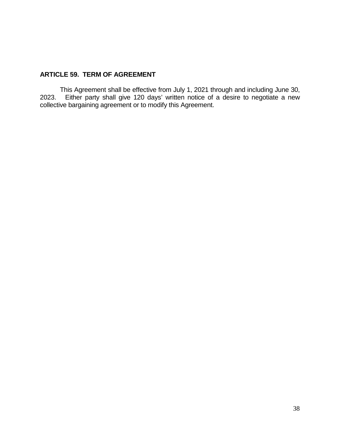## <span id="page-40-0"></span>**ARTICLE 59. TERM OF AGREEMENT**

This Agreement shall be effective from July 1, 2021 through and including June 30, 2023. Either party shall give 120 days' written notice of a desire to negotiate a new collective bargaining agreement or to modify this Agreement.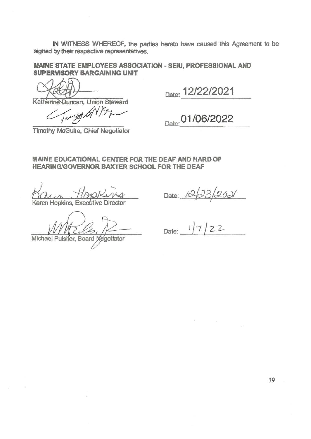IN WITNESS WHEREOF, the parties hereto have caused this Agreement to be signed by their respective representatives.

**MAINE STATE EMPLOYEES ASSOCIATION - SEIU, PROFESSIONAL AND SUPERVISORY BARGAINING UNIT** 

Katherine Duncan, Union Steward

Gunga GNYSA

Date: 12/22/2021

# Date: 01/06/2022

Timothy McGuire, Chief Negotiator

MAINE EDUCATIONAL CENTER FOR THE DEAF AND HARD OF **HEARING/GOVERNOR BAXTER SCHOOL FOR THE DEAF** 

Kaun Hoppkins, Executive Director

Michael Pulsifer, Board Megotiator

Date:  $12/33/203$ 

 $\mathcal{L}^{\text{max}}_{\text{max}}$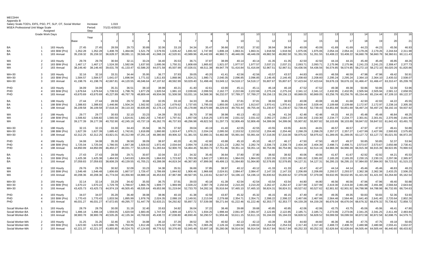| Appendix B<br>Salary Scale-TOD's, EIFS, PSO, PT, SLP, OT, Social Worker<br><b>MSEA Professional Unit Wage Scale</b> |                              |                                           |                                | Increase<br>Period:            | 1.019<br>7/1/21-6/30/22        |                                |                                |                                |                                |                                |                                |                                |                                |                                |                                |                                |                                |                                |                                |                                |                                |                                |                                |                                |
|---------------------------------------------------------------------------------------------------------------------|------------------------------|-------------------------------------------|--------------------------------|--------------------------------|--------------------------------|--------------------------------|--------------------------------|--------------------------------|--------------------------------|--------------------------------|--------------------------------|--------------------------------|--------------------------------|--------------------------------|--------------------------------|--------------------------------|--------------------------------|--------------------------------|--------------------------------|--------------------------------|--------------------------------|--------------------------------|--------------------------------|--------------------------------|
|                                                                                                                     | Grade Work Days              | Assigned                                  |                                | Step                           |                                |                                |                                |                                |                                |                                |                                |                                |                                |                                |                                |                                |                                |                                |                                |                                | 14                             |                                |                                | 16                             |
|                                                                                                                     |                              |                                           | Base                           | Year                           |                                |                                |                                |                                |                                |                                |                                |                                |                                | 11                             | 12                             | 13                             | 14                             |                                | 16                             | 17                             | 18                             |                                | 20                             | 21                             |
| BA<br>BA<br>BA                                                                                                      | -1                           | 183 Hourly<br>183 BiW (Pro)<br>183 Annual | 27.45<br>1,352.28<br>35,159.32 | 27.45<br>1,352.28<br>35,159.32 | 28.59<br>1,408.78              | 29.73<br>1,464.66              | 30.89<br>1,521.79<br>39,566.48 | 32.06<br>1,579.55<br>41,068.19 | 33.19<br>1,635.42<br>42,520.91 | 34.34<br>1,691.92<br>43,989.96 | 35.47<br>1.747.80              | 36.66<br>1,806.18<br>46,960.71 | 37.82<br>1,863.31<br>48,446.09 | 37.82<br>1,863.31<br>48,446.09 | 38.94<br>1,918.56<br>49,882.50 | 38.94<br>1,918.56<br>49,882.50 | 40.09<br>1,975.06<br>51,351.55 | 40.09<br>1,975.06              | 41.69<br>2,054.16<br>53,408.22 | 41.69<br>2,054.16<br>53,408.22 | 44.23<br>2,179.26<br>56,660.78 | 44.23<br>2,179.26<br>56,660.78 | 45.56<br>2.244.64              | 46.93<br>2,311.98<br>60,111.43 |
| МA                                                                                                                  | 2                            | 183 Hourly                                | 29.78                          | 29.78                          | 36,628.37<br>30.94             | 38,081.11<br>$32.1^{\circ}$    | 33.24                          | 34.40                          | 35.53                          | 36.71                          | 45,442.69<br>37.87             | 38.99                          | 40.14                          | 40.1                           | 41.35                          | 41.35                          | 42.50                          | 51,351.55<br>42.50             | 44.16                          | 44.16                          | 45.49                          | 45.49                          | 58,360.61<br>46.85             | 48.26                          |
| MA                                                                                                                  | 2                            | 183 BiW (Pro)                             | 1,467.17                       | 1,467.17                       | 1,524.30                       | 1,582.06                       | 1,637.93                       | 1,695.06                       | 1,750.31                       | 1,808.69                       | 1,865.82                       | 1,921.07                       | 1,977.57                       | 1,977.57                       | 2,037.21                       | 2,037.2                        | 2,093.71                       | 2,093.71                       | 2,175.96                       | 2,175.96                       | 2,241.23                       | 2,241.23                       | 2,308.47                       | 2,377.73                       |
| МA                                                                                                                  | 2                            | 183 Annual                                | 38,146.40                      | 38,146.40                      | 39,631.78                      | 41,133.47                      | 42,586.20                      | 44,071.58                      | 45,507.99                      | 47,026.01                      | 48,511.38                      | 49,947.79                      | 51,416.84                      | 51,416.84                      | 52,967.51                      | 52,967.51                      | 54,436.56                      | 54,436.56                      | 56,574.85                      | 56,574.85                      | 58,272.10                      | 58,272.1                       | 60,020.26                      | 61,820.86                      |
| MA+30                                                                                                               | 3                            | 183 Hourly                                | 32.16                          | 32.16                          | 33.31                          | 34.44                          | 35.95                          | 36.77                          | 37.93                          | 39.05                          | 40.20                          | 41.41                          | 42.56                          | 42.56                          | 43.57                          | 43.57                          | 44.83                          | 44.83                          | 46.59                          | 46.59                          | 47.98                          | 47.98                          | 49.42                          | 50.91                          |
| MA+30                                                                                                               | 3                            | 183 BiW (Pro)                             | 1,584.57                       | 1,584.57                       | 1,641.07                       | 1,696.94                       | 1,771.02                       | 1,811.83                       | 1,868.96                       | 1,924.21                       | 1,980.71                       | 2,040.35                       | 2,096.85                       | 2,096.85                       | 2,146.45                       | 2,146.45                       | 2,208.60                       | 2,208.60                       | 2,295.24                       | 2,295.24                       | 2,364.10                       | 2,364.10                       | 2,435.02                       | 2,508.07                       |
| MA+30                                                                                                               | 3                            | 183 Annual                                | 41,198.76                      | 41,198.76                      | 42,667.81                      | 44,120.55                      | 46,046.64                      | 47,107.62                      | 48,592.99                      | 50,029.40                      | 51,498.46                      | 53,049.12                      | 54,518.17                      | 54,518.17                      | 55,807.67                      | 55,807.67                      | 57,423.64                      | 57,423.64                      | 59,676.19                      | 59,676.19                      | 61,466.47                      | 61,466.4                       | 63,310.47                      | 65,209.78                      |
| PHD                                                                                                                 | $\overline{4}$               | 183 Hourly                                | 34.09                          | 34.09                          | 35.31                          | 36.51                          | 38.10                          | 38.98                          | $40.2^{\circ}$                 | 41.40                          | 42.61                          | 43.90                          | 45.11                          | 45.1                           | 46.18                          | 46.18                          | 47.52                          | 47.52                          | 49.38                          | 49.38                          | 50.86                          | 50.86                          | 52.39                          | 53.96                          |
| PHD                                                                                                                 | $\overline{4}$               | 183 BiW (Pro)                             | 1,679.64                       | 1,679.64                       | 1,739.53                       | 1,798.76                       | 1,877.29                       | 1,920.54                       | 1,981.10                       | 2,039.66                       | 2,099.55                       | 2,162.77                       | 2,222.66                       | 2,222.66                       | 2,275.24                       | 2,275.24                       | 2,341.12                       | 2,341.12                       | 2,432.95                       | 2,432.95                       | 2,505.94                       | 2,505.94                       | 2,581.12                       | 2,658.55                       |
| PHD                                                                                                                 | $\overline{a}$               | 183 Annual                                | 43,670.69                      | 43,670.69                      | 45,227.89                      | 46,767.78                      | 48,809.44                      | 49,934.08                      | 51,508.58                      | 53,031.16                      | 54,588.36                      | 56,232.07                      | 57,789.27                      | 57,789.27                      | 59,156.13                      | 59,156.13                      | 60,869.05                      | 60,869.05                      | 63,256.76                      | 63,256.76                      | 65,154.46                      | 65,154.46                      | 67,109.10                      | 69,122.37                      |
| BA<br>BA<br><b>BA</b>                                                                                               | -1<br>$\overline{1}$         | 188 Hourly<br>188 BiW (Pro)<br>188 Annual | 27.44<br>1,388.83<br>36,109.58 | 27.44<br>1,388.83<br>36,109.58 | 28.59<br>1,446.86<br>37,618.34 | 29.72<br>1,504.24<br>39,110.33 | 30.88<br>1,562.92<br>40,635.85 | 32.05<br>1,622.24<br>42,178.13 | 33.18<br>1,679.62<br>43,670.13 | 34.33<br>1,737.65<br>45,178.88 | 35.46<br>1,795.03<br>46,670.88 | 36.65<br>1,855.00<br>48,229.93 | 37.81<br>1,913.67<br>49,755.44 | 37.8<br>1,913.67<br>49,755.44  | 38.93<br>1,970.4'<br>51,230.67 | 38.93<br>1,970.4<br>51,230.67  | 40.08<br>2,028.44<br>52,739.43 | 40.08<br>2,028.44<br>52,739.43 | 41.68<br>2,109.68<br>54,851.69 | 41.68<br>2,109.68<br>54,851.69 | 42.93<br>2,172.97<br>56,497.24 | 42.93<br>2,172.97<br>56,497.24 | 44.22<br>2,238.16<br>58,192.16 | 45.55<br>2,305.30<br>59,937.92 |
| MA                                                                                                                  | $\overline{2}$               | 188 Hourly                                | 29.77                          | 29.77                          | 30.93                          | 32.10                          | 33.23                          | 34.39                          | 35.52                          | 36.70                          | 37.86                          | 38.98                          | 40.13                          | 40.1                           | 41.34                          | 41.34                          | 42.48                          | 42.48                          | 44.15                          | 44.15                          | 45.48                          | 45.48                          | 46.84                          | 48.25                          |
| МA                                                                                                                  | 2                            | 188 BiW (Pro)                             | 1,506.82                       | 1,506.82                       | 1,565.50                       | 1,624.81                       | 1,682.20                       | 1,740.87                       | 1,797.61                       | 1,857.58                       | 1,916.25                       | 1,972.99                       | 2,031.02                       | 2,031.02                       | 2,092.27                       | 2,092.27                       | 2,150.30                       | 2,150.30                       | 2,234.77                       | 2,234.77                       | 2,301.81                       | 2,301.81                       | 2,370.86                       | 2,441.99                       |
| MA                                                                                                                  | 2                            | 188 Annual                                | 39,177.39                      | 39,177.39                      | 40,702.90                      | 42,245.19                      | 43,737.19                      | 45,262.70                      | 46,737.93                      | 48,296.98                      | 49,822.50                      | 51,297.73                      | 52,806.49                      | 52,806.49                      | 54,399.06                      | 54,399.06                      | 55,907.82                      | 55,907.82                      | 58,103.89                      | 58,103.89                      | 59,847.02                      | 59.847.02                      | 61,642.43                      | 63,491.70                      |
| MA+30                                                                                                               | 3                            | 188 Hourly                                | 32.15                          | 32.15                          | 33.30                          | -34.43                         | 35.94                          | 36.76                          | 37.92                          | 39.04                          | 40.19                          | 41.40                          | 42.55                          | 42.55                          | 43.55                          | 43.55                          | 44.81                          | 44.81                          | 46.57                          | 46.57                          | 47.97                          | 47.97                          | 49.41                          | 50.89                          |
| MA+30                                                                                                               | 3                            | 188 BiW (Pro)                             | 1,627.39                       | 1,627.39                       | 1,685.42                       | 1,742.81                       | 1,818.89                       | 1,860.80                       | 1,919.47                       | 1,976.21                       | 2,034.24                       | 2,095.50                       | 2,153.52                       | 2,153.52                       | 2,204.46                       | 2,204.46                       | 2,268.29                       | 2,268.29                       | 2,357.27                       | 2,357.27                       | 2,427.99                       | 2,427.99                       | 2,500.83                       | 2,575.85                       |
| $MA+30$                                                                                                             | 3                            | 188 Annual                                | 42,312.25                      | 42,312.25                      | 43,821.01                      | 45,312.99                      | 47,291.14                      | 48,380.80                      | 49,906.32                      | 51,381.55                      | 52,890.31                      | 54,482.88                      | 55,991.64                      | 55,991.64                      | 57,316.00                      | 57,316.00                      | 58,975.62                      | 58,975.62                      | 61,289.05                      | 61,289.05                      | 63,127.72                      | 63,127.72                      | 65,021.55                      | 66,972.20                      |
| PHD<br>PHD<br>PHD                                                                                                   | -4<br>$\overline{4}$         | 188 Hourly<br>188 BiW (Pro)<br>188 Annual | 34.08<br>1,725.04<br>44,850.99 | 34.08<br>1,725.04<br>44,850.99 | 35.30<br>1,786.55<br>46,450.27 | 36.50<br>1,847.38<br>48,031.77 | 38.09<br>1,928.02<br>50,128.61 | 38.97<br>1,972.45<br>51,283.64 | 40.20<br>2,034.64<br>52,900.70 | 41.39<br>2,094.79<br>54,464.45 | 42.60<br>2,156.30<br>56,063.73 | 43.88<br>2,221.23<br>57,751.86 | 45.10<br>2,282.74<br>59,351.14 | 45.10<br>2,282.74<br>59,351.14 | 46.17<br>2,336.73<br>60,754.96 | 46.1<br>2,336.73<br>60,754.96  | 47.50<br>2,404.39<br>62,514.16 | 47.50<br>2,404.39<br>62,514.16 | 49.37<br>2,498.71<br>64,966.39 | 49.37<br>2,498.71<br>64,966.39 | 50.85<br>2,573.67<br>66,915.39 | 50.85<br>2,573.67<br>66,915.39 | 52.37<br>2,650.88<br>68,922.85 | 53.94<br>2,730.41<br>70,990.53 |
| <b>BA</b><br>BA<br><b>BA</b>                                                                                        | $\mathbf{1}$<br>$\mathbf{1}$ | 193 Hourly<br>193 BiW (Pro)<br>193 Annual | 27.43<br>1,425.38<br>37,059.83 | 27.43<br>1,425.38<br>37,059.83 | 28.58<br>1,484.93<br>38,608.29 | 29.7'<br>1,543.83<br>40,139.55 | 30.87<br>1,604.05<br>41,705.21 | 32.04<br>1,664.93<br>43,288.08 | 33.1<br>1,723.82<br>44,819.34  | 34.32<br>1,783.38<br>46,367.80 | 35.45<br>1,842.27<br>47,899.06 | 36.64<br>1,903.81<br>49,499.13 | 37.80<br>1,964.03<br>51,064.80 | 37.80<br>1,964.03<br>51,064.80 | 38.92<br>2,022.26<br>52,578.85 | 38.92<br>2,022.26<br>52,578.85 | 40.06<br>2,081.82<br>54,127.31 | 40.06<br>2,081.82<br>54,127.31 | 41.67<br>2,165.20<br>56,295.15 | 41.67<br>2,165.20<br>56,295.15 | 42.92<br>2,230.15<br>57,984.00 | 42.92<br>2,230.15<br>57,984.00 | 44.21<br>2,297.06<br>59,723.52 | 45.53<br>2,365.97<br>61,515.23 |
| <b>MA</b>                                                                                                           | $\overline{2}$               | 193 Hourly                                | 29.76                          | 29.76                          | 30.92                          | 32.09                          | 33.23                          | 34.38                          | $35.5^{\circ}$                 | 36.69                          | 37.85                          | 38.97                          | 40.12                          | 40.12                          | 41.33                          | 41.33                          | 42.47                          | 42.47                          | 44.14                          | 44.14                          | 45.46                          | 45.46                          | 46.83                          | 48.23                          |
| МA                                                                                                                  | 2                            | 193 BiW (Pro)                             | 1,546.48                       | 1,546.48                       | 1,606.69                       | 1,667.57                       | 1,726.47                       | 1,786.69                       | 1,844.92                       | 1,906.46                       | 1,966.68                       | 2,024.91                       | 2,084.47                       | 2,084.47                       | 2,147.33                       | 2,147.33                       | 2,206.89                       | 2,206.89                       | 2,293.57                       | 2,293.57                       | 2,362.38                       | 2,362.38                       | 2,433.25                       | 2,506.25                       |
| МA                                                                                                                  | 2                            | 193 Annual                                | 40,208.36                      | 40,208.36                      | 41,774.04                      | 43,356.90                      | 44,888.16                      | 46,453.83                      | 47,967.88                      | 49,567.95                      | 51,133.61                      | 52,647.67                      | 54,196.1                       | 54,196.1                       | 55,830.62                      | 55,830.62                      | 57,379.08                      | 57,379.08                      | 59,632.95                      | 59,632.95                      | 61,421.93                      | 61,421.9                       | 63,264.60                      | 65,162.54                      |
| $MA+30$                                                                                                             | 3                            | 193 Hourly                                | 32.14                          | 32.14                          | 33.29                          | 34.42                          | 35.93                          | 36.75                          | 37.91                          | 39.03                          | 40.18                          | 41.39                          | 42.54                          | 42.54                          | 43.54                          | 43.54                          | 44.80                          | 44.80                          | 46.56                          | 46.56                          | 47.96                          | 47.96                          | 49.40                          | 50.88                          |
| MA+30                                                                                                               | 3                            | 193 BiW (Pro)                             | 1,670.22                       | 1,670.22                       | 1,729.78                       | 1,788.67                       | 1,866.76                       | 1,909.77                       | 1,969.99                       | 2,028.22                       | 2,087.78                       | 2,150.64                       | 2,210.20                       | 2,210.20                       | 2,262.47                       | 2,262.47                       | 2,327.99                       | 2,327.99                       | 2,419.30                       | 2,419.30                       | 2,491.88                       | 2,491.88                       | 2,566.64                       | 2,643.64                       |
| $MA+30$                                                                                                             | 3                            | 193 Annual                                | 43,425.73                      | 43,425.73                      | 44,974.19                      | 46,505.45                      | 48,535.64                      | 49,653.98                      | 51,219.64                      | 52,733.70                      | 54,282.16                      | 55,916.64                      | 57,465.10                      | 57,465.1                       | 58,824.31                      | 58,824.31                      | 60,527.62                      | 60,527.62                      | 62,901.92                      | 62,901.92                      | 64,788.98                      | 64,788.98                      | 66,732.65                      | 68,734.63                      |
| PHD                                                                                                                 | $\overline{4}$               | 193 Hourly                                | 34.07                          | 34.07                          | 35.29                          | 36.49                          | 38.08                          | 38.96                          | 40.19                          | 41.38                          | 42.59                          | 43.87                          | 45.32                          | 45.32                          | 46.15                          | 46.15                          | 47.49                          | 47.49                          | 49.35                          | 49.35                          | 50.83                          | 50.83                          | 52.36                          | 53.93                          |
| PHD                                                                                                                 | $\Delta$                     | 193 BiW (Pro)                             | 1,770.43                       | 1,770.43                       | 1,833.56                       | 1,895.99                       | 1,978.76                       | 2,024.35                       | 2,088.19                       | 2,149.91                       | 2,213.04                       | 2,279.68                       | 2,354.71                       | 2,354.71                       | 2,398.22                       | 2,398.22                       | 2,467.66                       | 2,467.66                       | 2,564.46                       | 2,564.46                       | 2,641.40                       | 2,641.40                       | 2,720.64                       | 2,802.26                       |
| PHD                                                                                                                 | $\overline{4}$               | 193 Annual                                | 46,031.27                      | 46,031.27                      | 47,672.65                      | 49,295.77                      | 51,447.79                      | 52,633.21                      | 54,292.82                      | 55,897.72                      | 57,539.08                      | 59,271.64                      | 61,222.46                      | 61,222.46                      | 62,353.77                      | 62,353.77                      | 64,159.28                      | 64,159.28                      | 66,676.04                      | 66,676.04                      | 68,676.32                      | 68,676.32                      | 70,736.62                      | 72,858.72                      |
| Socail Worker-BA                                                                                                    | $\overline{1}$               | 193 Hourly                                | 28.79                          | 28.79                          | 30.00                          | 31.19                          | 32.40                          | 33.63                          | 34.82                          | 36.04                          | 37.22                          | 38.46                          | 39.68                          | 39.68                          | 40.85                          | 40.85                          | 42.06                          | 42.06                          | 43.75                          | 43.75                          | 45.06                          | 45.06                          | 46.41                          | 47.80                          |
| Socail Worker-BA                                                                                                    | $\mathbf{1}$                 | 193 BiW (Pro)                             | 1,496.18                       | 1,496.18                       | 1,559.05                       | 1,620.59                       | 1,683.45                       | 1,747.64                       | 1,809.18                       | 1,872.71                       | 1,934.25                       | 1,998.44                       | 2,061.97                       | 2,061.97                       | 2,122.85                       | 2,122.85                       | 2,185.71                       | 2,185.71                       | 2,273.06                       | 2,273.06                       | 2,341.25                       | 2,341.25                       | 2,411.49                       | 2,483.84                       |
| Socail Worker-BA                                                                                                    | $\mathbf{1}$                 | 193 Annual                                | 38,900.78                      | 38,900.78                      | 40,535.26                      | 42,135.34                      | 43,769.83                      | 45,438.72                      | 47,038.80                      | 48,690.49                      | 50,290.57                      | 51,959.46                      | 53,611.15                      | 53,611.15                      | 55,194.03                      | 55,194.03                      | 56,828.52                      | 56,828.52                      | 59,099.59                      | 59,099.59                      | 60,872.58                      | 60,872.58                      | 62,698.75                      | 64,579.71                      |
| Social Worker-MA                                                                                                    | 2                            | 193 Hourly                                | 31.25                          | 31.25                          | 32.46                          | 33.70                          | 34.88                          | 36.10                          | 37.29                          | 38.52                          | 39.75                          | 40.92                          | 42.13                          | 42.13                          | 43.39                          | 43.39                          | 44.60                          | 44.60                          | 46.36                          | 46.36                          | 47.75                          | 47.75                          | 49.18                          | 50.65                          |
| Social Worker-MA                                                                                                    | $\overline{2}$               | 193 BiW (Pro)                             | 1,623.90                       | 1,623.90                       | 1,686.76                       | 1,750.95                       | 1,812.49                       | 1,876.02                       | 1,937.56                       | 2,001.75                       | 2,065.28                       | 2,126.16                       | 2,189.02                       | 2,189.02                       | 2,254.53                       | 2,254.53                       | 2,317.40                       | 2,317.40                       | 2,408.72                       | 2,408.72                       | 2,480.98                       | 2,480.98                       | 2,555.41                       | 2,632.07                       |
| Social Worker-MA                                                                                                    | $\mathcal{P}$                | 193 Annual                                | 42,221.37                      | 42,221.37                      | 43,855.85                      | 45,524.75                      | 47,124.83                      | 48,776.52                      | 50,376.60                      | 52,045.49                      | 53,697.18                      | 55,280.06                      | 56,914.54                      | 56,914.54                      | 58,617.84                      | 58,617.84                      | 60,252.33                      | 60.252.33                      | 62,626.64                      | 62,626.64                      | 64,505.44                      | 64,505.44                      | 66,440.60                      | 68,433.82                      |

MECDHHAppendix B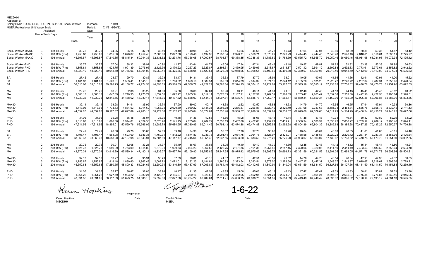| Appendix B                                                                                                                                              |                        |               |           |           |           |           |           |           |           |                |           |           |                |                 |           |           |           |           |           |           |           |           |                     |                |
|---------------------------------------------------------------------------------------------------------------------------------------------------------|------------------------|---------------|-----------|-----------|-----------|-----------|-----------|-----------|-----------|----------------|-----------|-----------|----------------|-----------------|-----------|-----------|-----------|-----------|-----------|-----------|-----------|-----------|---------------------|----------------|
| Salary Scale-TOD's, EIFS, PSO, PT, SLP, OT, Social Worker<br>1.019<br>Increase<br><b>MSEA Professional Unit Wage Scale</b><br>7/1/21-6/30/22<br>Period: |                        |               |           |           |           |           |           |           |           |                |           |           |                |                 |           |           |           |           |           |           |           |           |                     |                |
|                                                                                                                                                         |                        | Assianed      |           | Step      |           |           |           |           |           |                |           |           |                |                 |           |           |           |           |           |           |           |           |                     |                |
|                                                                                                                                                         | <b>Grade Work Days</b> |               |           |           |           |           |           |           |           |                |           |           |                | 10 <sup>1</sup> |           | 11        |           |           |           |           |           |           | 15                  |                |
|                                                                                                                                                         |                        |               |           | Year      |           |           |           |           |           |                |           |           |                |                 |           |           |           |           |           |           |           |           |                     |                |
|                                                                                                                                                         |                        |               | Base      |           |           |           |           |           |           |                |           |           |                |                 | 12        |           |           |           | 16        |           | 18        | 10        | 20                  | 21             |
| Social Worker-MA+30                                                                                                                                     |                        | 193 Hourly    | 33.75     | 33.75     | 34.95     | 36.15     | 37.71     | 38.59     | 39.40     | 40.98          | 42.19     | 43.45     | 44.66          | 44.66           | 45.73     | 45.73     | 47.04     | 47.04     | 48.89     | 48.89     | 50.36     | 50.36     | 51.87               | 53.42          |
| Social Worker-MA+30                                                                                                                                     |                        | 193 BiW (Pro) | 1,753.60  | 1,753.60  | 1,815.80  | 1,878.67  | 1,959.40  | 2,005.06  | 2,047.38  | 2,129.46       | 2,192.33  | 2,257.84  | 2,320.71       | 2,320.7'        | 2,376.29  | 2,376.29  | 2,444.45  | 2.444.45  | 2,540.40  | 2,540.40  | 2,616.6   | 2,616.61  | 2,695.11            | 2,775.97       |
| Social Worker-MA+30                                                                                                                                     |                        | 193 Annual    | 45.593.57 | 45.593.57 | 47,210.85 | 48,845.34 | 50.944.36 | 52,131.52 | 53,231.76 | 55,366.08      | 57.000.57 | 58,703.87 | 60,338.35      | 60,338.35       | 61,783.59 | 61,783.59 | 63,555.72 | 63,555.72 | 66,050.46 | 66.050.46 | 68,031.98 | 68,031.98 | 70,072.94           | 72,175.12      |
| Social Worker-PHD                                                                                                                                       |                        | 193 Hourly    | 35.77     | 35.77     | 37.04     | 38.32     | 39.97     | 40.90     | 41.77     | 43.44          | 44.72     | 46.06     | 47.34          | 47.34           | 48.48     | 48.48     | 49.8      | 49.87     | 51.82     | 51.82     | 53.38     | 53.38     | 54.98               | 56.63          |
| Social Worker-PHD                                                                                                                                       |                        | 193 BiW (Pro) | 1,858.81  | 1,858.8   | 1,924.75  | 1,991.39  | 2,076.96  | 2,125.36  | 2,170.22  | 2,257.23       | 2,323.87  | 2,393.31  | 2,459.95       | 2,459.95        | 2,518.87  | 2,518.87  | 2,591.1   | 2,591.12  | 2,692.83  | 2,692.8   | 2,773.6   | 2.773.6   | 2,856.82            | 2,942.52       |
| Social Worker-PHD                                                                                                                                       |                        | 193 Annual    | 48,329.19 | 48,329.19 | 50,043.50 | 51,776.06 | 54,001.03 | 55,259.4  | 56,425.66 | 58,688.05      | 60,420.6  | 62,226.09 | 63,958.65      | 63,958.65       | 65.490.60 | 65.490.60 | 67.369.0  | 67.369.07 | 70,013.49 | 70.013.4  | 72,113.90 | 72,113.90 | 74,277.31           | 76,505.63      |
| BA                                                                                                                                                      |                        | 198 Hourly    | 27.42     | 27.42     | 28.5      | 29.70     | 30.86     | 32.03     | 33.17     | 34.31          | 35.45     | 36.63     | 37.79          | 37.79           | 38.9      | 38.91     | 40.05     | 40.05     | 41.66     | 41.66     | 42.9      | 42.91     | 44.20               | 45.52          |
| <b>BA</b>                                                                                                                                               |                        | 198 BiW (Pro) | 1,461.93  | 1,461.93  | 1,523.0   | 1,583.41  | 1,645.18  | 1,707.62  | 1,768.02  | 1,829.10       | 1,889.51  | 1,952.63  | 2,014.39       | 2,014.39        | 2,074.12  | 2,074.12  | 2,135.20  | 2,135.20  | 2,220.72  | 2,220.72  | 2,287.34  | 2,287.34  | 2,355.96            | 2,426.64       |
| BA                                                                                                                                                      |                        | 198 Annual    | 38,010.08 | 38,010.08 | 39,598.25 | 41,168.77 | 42,774.58 | 44,398.03 | 45,968.55 | 47,556.72      | 49,127.24 | 50,768.34 | 52,374.15      | 52,374.15       | 53,927.02 | 53,927.02 | 55,515.19 | 55,515.19 | 57,738.62 | 57,738.62 | 59,470.78 | 59,470.78 | 61,254.90           | 63,092.55      |
| MA                                                                                                                                                      |                        | 198 Hourly    | 29.75     | 29.75     | 30.9      | 32.08     | 33.22     | 34.38     | 35.50     | 36.68          | 37.84     | 38.96     | 40.1'          | 40.1            | 41.31     | 41.31     | 42.46     | 42.46     | 44.13     | 44.13     | 45.45     | 45.45     | 46.82               | 48.22          |
| МA                                                                                                                                                      |                        | 198 BiW (Pro) | 1,586.13  | 1,586.1   | 1,647.89  | 1,710.33  | 1,770.74  | 1,832.50  | 1,892.22  | 1,955.34       | 2,017.11  | 2,076.83  | 2,137.91       | 2,137.9'        | 2,202.39  | 2,202.39  | 2,263.4   | 2,263.47  | 2,352.38  | 2,352.38  | 2,422.96  | 2,422.96  | 2,495.64            | 2,570.51       |
| МA                                                                                                                                                      | $\overline{2}$         | 198 Annual    | 41.239.35 | 41,239.35 | 42,845.16 | 44.468.62 | 46,039.14 | 47.644.95 | 49.197.82 | 50,838.93      | 52.444.74 | 53,997.61 | 55,585.77      | 55,585.77       | 57,262.17 | 57.262.17 | 58.850.34 | 58.850.34 | 61.162.00 | 61.162.00 | 62,996.85 | 62.996.85 | 64,886.76           | 66,833.36      |
| MA+30                                                                                                                                                   |                        | 198 Hourly    | 32.14     | 32.14     | 33.28     | 34.41     | 35.92     | 36.74     | 37.90     | 39.02          | 40.17     | 41.38     | 42.52          | 42.52           | 43.53     | 43.53     | 44.79     | 44.79     | 46.55     | 46.55     | 47.94     | 47.94     | 49.38               | 50.86          |
| MA+30                                                                                                                                                   |                        | 198 BiW (Pro) | 1.713.05  | 1.713.05  | 1.774.1   | 1,834.53  | 1.914.62  | 1.958.74  | 2,020.50  | 2.080.22       | 2.141.31  | 2,205.78  | 2.266.87       | 2.266.87        | 2,320.49  | 2,320.49  | 2.387.68  | 2.387.68  | 2,481.34  | 2.481.34  | 2,555.78  | 2.555.78  | 2.632.45            | 2.711.43       |
| MA+30                                                                                                                                                   | 3                      | 198 Annual    | 44.539.20 | 44.539.20 | 46.127.3  | 47,697.89 | 49,780.15 | 50.927.16 | 52.532.97 | 54,085.84      | 55,674.01 | 57,350.40 | 58,938.57      | 58,938.57       | 60,332.62 | 60.332.62 | 62,079.6  | 62.079.60 | 64.514.79 | 64.514.79 | 66,450.24 | 66.450.24 | 68,443.75           | 70,497.06      |
| PHD                                                                                                                                                     |                        | 198 Hourly    | 34.06     | 34.06     | 35.28     | 36.48     | 38.07     | 38.95     | 40.18     | 41.36          | 42.58     | 43.86     | 45.08          | 45.08           | 46.14     | 46.14     | 47.48     | 47.48     | 49.34     | 49.34     | 50.82     | 50.82     | 52.35               | 53.92          |
| PHD                                                                                                                                                     |                        | 198 BiW (Pro) | 1,815.83  | 1,815.83  | 1,880.58  | 1,944.61  | 2,029.50  | 2,076.26  | 2,141.73  | 2,205.04       | 2,269.79  | 2,338.13  | 2,402.88       | 2,402.88        | 2,459.71  | 2,459.71  | 2,530.94  | 2,530.94  | 2,630.22  | 2,630.22  | 2,709.12  | 2,709.12  | 2,790.40            | 2,874.11       |
| PHD                                                                                                                                                     |                        | 198 Annual    | 47.211.56 | 47,211.56 | 48,895.0  | 50,559.76 | 52,766.95 | 53,982.79 | 55,684.95 | 57,330.99      | 59,014.45 | 60,791.43 | 62,474.88      | 62,474.88       | 63,952.58 | 63,952.58 | 65,804.39 | 65.804.39 | 68,385.68 | 68,385.68 | 70,437.25 | 70,437.25 | 72,550.37           | 74,726.88      |
| BA                                                                                                                                                      |                        | 203 Hourly    | 27.42     | 27.42     | 28.56     | 29.70     | 30.85     | 32.03     | 33.16     | 34.30          | 35.44     | 36.62     | 37.78          | 37.78           | 38.90     | 38.90     | 40.04     | 40.04     | 40.63     | 40.63     | 41.85     | 41.85     | 43.11               | 44.40          |
| BA                                                                                                                                                      |                        | 203 BiW (Pro) | 1.498.47  | 1,498.47  | 1.561.08  | 1,623.00  | 1,686.31  | 1,750.3'  | 1,812.22  | 1,874.83       | 1.936.75  | 2,001.44  | 2,064.75       | 2,064.75        | 2,125.97  | 2,125.97  | 2,188.58  | 2,188.58  | 2,220.72  | 2,220.72  | 2,287.34  | 2,287.34  | 2,355.96            | 2,426.64       |
| BA                                                                                                                                                      |                        | 203 Annual    | 38,960.33 | 38,960.33 | 40,588.20 | 42,197.98 | 43,843.94 | 45,507.99 | 47,117.77 | 48,745.64      | 50,355.42 | 52,037.55 | 53,683.50      | 53,683.50       | 55,275.20 | 55,275.20 | 56,903.0  | 56,903.07 | 57,738.62 | 57,738.62 | 59,470.78 | 59,470.78 | 61,254.90           | 63,092.55      |
| МA                                                                                                                                                      |                        | 203 Hourly    | 29.75     | 29.75     | 30.9'     | 32.08     | 33.21     | 34.37     | 35.49     | 36.67          | 37.83     | 38.95     | 40.1           | 40.10           | 41.30     | 41.30     | 42.45     | 42.45     | 44.12     | 44.12     | 45.44     | 45.44     | 46.80               | $48.2^{\circ}$ |
| МA                                                                                                                                                      |                        | 203 BiW (Pro) | 1,625.78  | 1,625.78  | 1,689.09  | 1,753.09  | 1,815.00  | 1,878.31  | 1,939.53  | 2,004.23       | 2,067.53  | 2,128.75  | 2,191.36       | 2,191.36        | 2,257.45  | 2,257.45  | 2,320.06  | 2,320.06  | 2,411.19  | 2,411.19  | 2,483.53  | 2,483.53  | 2,558.04            | 2,634.78       |
| МA                                                                                                                                                      | $\overline{2}$         | 203 Annual    | 42,270.34 | 42,270.34 | 43,916.29 | 45,580.34 | 47,190.11 | 48,836.0  | 50,427.76 | 52,109.90      | 53,755.86 | 55,347.55 | 56,975.42      | 56,975.42       | 58,693.73 | 58,693.73 | 60,321.59 | 60,321.59 | 62,691.05 | 62,691.05 | 64,571.78 | 64.571.78 | 66,508.94           | 68,504.21      |
| MA+30                                                                                                                                                   |                        | 203 Hourly    | 32.13     | 32.13     | 33.27     | 34.41     | 35.91     | 36.73     | 37.89     | $39.0^{\circ}$ | 40.16     | 41.37     | $42.5^{\circ}$ | 42.5'           | 43.52     | 43.52     | 44.78     | 44.78     | 46.54     | 46.54     | 47.93     | 47.93     | 49.37               | 50.85          |
| MA+30                                                                                                                                                   |                        | 203 BiW (Pro) | 1,755.87  | 1,755.87  | 1,818.48  | 1,880.40  | 1,962.49  | 2,007.7   | 2,071.01  | 2,132.23       | 2,194.84  | 2,260.93  | 2,323.54       | 2,323.54        | 2,378.50  | 2,378.50  | 2,447.3   | 2,447.37  | 2,543.37  | 2,543.3   | 2,619.67  | 2,619.67  | 2,698.26            | 2,779.21       |
| MA+30                                                                                                                                                   |                        | 203 Annual    | 45,652.68 | 45,652.68 | 47,280.55 | 48,890.33 | 51,024.66 | 52,200.34 | 53,846.30 | 55,437.99      | 57,065.86 | 58,784.16 | 60,412.03      | 60,412.03       | 61,840.94 | 61,840.94 | 63,631.59 | 63,631.59 | 66,127.66 | 66,127.66 | 68,111.50 | 68,111.50 | 70,154.84           | 72,259.49      |
| PHD                                                                                                                                                     |                        | 203 Hourly    | 34.05     | 34.05     | 35.27     | 36.47     | 38.06     | 38.94     | 40.17     | 41.35          | 42.57     | 43.85     | 45.06          | 45.06           | 46.13     | 46.13     | 47.4      | 47.47     | 49.33     | 49.33     | 50.8      | 50.81     | 52.33               | 53.90          |
| PHD                                                                                                                                                     |                        | 203 BiW (Pro) | 1,861.22  | 1.861.22  | 1.927.59  | 1,993.22  | 2,080.24  | 2,128.1   | 2,195.27  | 2.260.16       | 2.326.53  | 2,396.59  | 2.462.95       | 2,462.95        | 2,521.2'  | 2.521.21  | 2,594.2   | 2.594.21  | 2.695.97  | 2,695.9   | 2,776.85  | 2.776.85  | 2,860.16            | 2,945.96       |
| PHD                                                                                                                                                     |                        | 203 Annual    | 48.391.85 | 48.391.85 | 50.117.39 | 51.823.75 | 54.086.13 | 55.332.36 | 57.077.08 | 58.764.27      | 60.489.81 | 62.311.21 | 64.036.75      | 64.036.75       | 65.551.39 | 65.551.39 | 67.449.49 | 67.449.49 | 70.095.32 | 70.095.32 | 72.198.19 | 72,198.19 | 74.364.13 76.595.05 |                |
|                                                                                                                                                         |                        |               |           |           |           |           |           |           |           |                |           |           |                |                 |           |           |           |           |           |           |           |           |                     |                |

1-6-22 1-6-22

Karen Hopkins Date Tim McGuire Date Karen Hopkins<br>MECDHH

MSEA

12/17/2021

MECDHH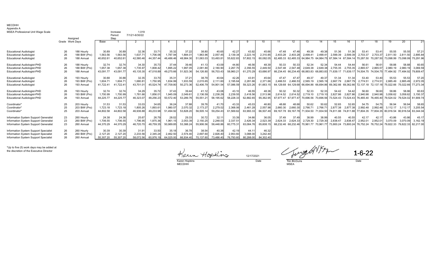#### MECDHHAppendix A

| <b>MSEA Professional Unit Wage Scale</b> |                 | Assigned      |           | Increase<br>Period:<br>Step | 1.019<br>7/1/21-6/30/22 |           |           |           |           |           |           |           |           |                     |           |                                                                                           |                   |                               |                     |                                                             |                     |                     |          |           |
|------------------------------------------|-----------------|---------------|-----------|-----------------------------|-------------------------|-----------|-----------|-----------|-----------|-----------|-----------|-----------|-----------|---------------------|-----------|-------------------------------------------------------------------------------------------|-------------------|-------------------------------|---------------------|-------------------------------------------------------------|---------------------|---------------------|----------|-----------|
|                                          | Grade Work Days |               | Base      |                             |                         |           |           |           |           |           |           |           | 10.       |                     | 12        |                                                                                           |                   |                               | 16                  |                                                             | 18                  |                     | 20       | 21        |
| <b>Educational Audiologis</b>            | 26              | 188 Hourly    | 30.89     | 30.8                        | 32.36                   | 33.7      | 35.32     | 37.22     | 38.80     | 40.65     | 42.27     | 43.92     | 45.66     | 47.48               | 47.48     | 49.38                                                                                     | 49.38             | 51.36                         | 51.36               | 53.41                                                       | 53.4'               | 55.55               | 55.55    | 57.21     |
| <b>Educational Audiologis</b>            | 26              | 188 BiW (Pro) | 1,563.56  | 1,563.56                    | 1,637.7                 | 1,706.06  | 1,787.94  | 1,884.01  | 1,963.96  | 2,057.45  | 2,139.34  | 2,223.16  | 2,310.85  | 2.403.28            | 2.403.28  | 2.499.41                                                                                  | $2.499.4^{\circ}$ | 2.599.39                      | 2,599.39            | 2.703.37                                                    | 2,703.37            | 2.811.50            | 2,811.50 | 2,895.84  |
| <b>Educational Audiologist</b>           | 26              | 188 Annual    | 40.652.61 | 40.652.6                    | 42.580.46               | 44.357.44 | 46.486.46 | 48.984.30 | 51.063.03 | 53.493.81 | 55.622.83 | 57,802.15 | 60.082.05 | 62.485.33 62.485.33 |           | 64,984.75 64,984.75                                                                       |                   |                               | 67.584.14 67.584.14 | 70,287.50 70,287.50 73,098.99 73,098.9                      |                     |                     |          | 75,291.96 |
| <b>Educational Audiologist-PHD</b>       | 26              | 188 Hourly    | 32.74     | 32.74                       | 34.30                   | 35.73     | 37.44     | 39.46     | 41.13     | 43.09     | 44.80     | 46.56     | 48.39     | 50.33               | 50.33     | 52.34                                                                                     | 52.34             | 54.44                         | 54.44               | 56.61                                                       | 56.6                | 58.88               | 58.88    | 60.65     |
| <b>Educational Audiologist-PHD</b>       | 26              | 188 BiW (Pro) | 1,657.38  | 1,657.38                    | 1.735.97                | 1,808.42  | 1,895.22  | 1,997.05  | 2.081.80  | 2.180.90  | 2,267.70  | 2,356.55  | 2.449.50  | 2.547.48            | 2.547.48  | 2.649.38                                                                                  | 2.649.38          | 2.755.35                      | 2.755.35            | 2.865.57                                                    | 2.865.57            | 2.980.19            | 2.980.1  | 3.069.59  |
| <b>Educational Audiologist-PHD</b>       | 26              | 188 Annual    | 43.091.77 | 43,091.7                    | 45,135.30               | 47.018.89 | 49,275.66 | 51,923.36 | 54,126.80 | 56,703.43 | 58.960.21 | 61,270.29 | 63.686.9  | 66.234.45           |           | 66,234.45 68,883.83 68,883.83                                                             |                   | 71.639.17                     | 71,639.17           | 74.504.75 74.504.75                                         |                     | 77,484.92 77,484.92 |          | 79,809.47 |
| <b>Educational Audiologist</b>           | 26              | 193 Hourly    | 30.88     | 30.88                       | 32.35                   | 33.70     | 35.31     | 37.2      | 38.79     | 40.64     | 42.26     | 43.9      | 45.64     | 47.47               | 47.47     | 49.37                                                                                     | 49.37             | 51.34                         | 51.34               | 53.40                                                       | 53.40               | 55.53               | 55.53    | 57.20     |
| <b>Educational Audiologist</b>           | 26              | 193 BiW (Pro) | 1.604.71  | 1,604.7                     | 1.680.8                 | 1,750.95  | 1,834.99  | 1,933.59  | 2,015.65  | 2.111.60  | 2,195.64  | 2,281.66  | 2.371.66  | 2.466.53            | 2.466.53  | 2.565.19                                                                                  | 2.565.19          | 2.667.79                      | 2.667.79            | 2.774.51                                                    | 2.774.51            | 2.885.49            | 2,885.4  | 2,972.05  |
| <b>Educational Audiologist</b>           | 26              | 193 Annual    | 41.722.41 | 41,722.41                   | 43.701.0                | 45,524.74 | 47,709.80 | 50,273.36 | 52,406.79 | 54,901.54 | 57,086.59 | 59,323.26 | 61,663.15 | 64.129.68           |           | 64.129.68 66.694.86 66.694.86 69.362.66 69.362.66 72.137.18 72.137.18 75.022.66 75.022.66 |                   |                               |                     |                                                             |                     |                     |          | 77,273.34 |
| <b>Educational Audiologist-PHD</b>       | 26              | 193 Hourly    | 32.74     | 32.74                       | 34.29                   | 35.72     | 37.43     | 39.44     | 41.12     | 43.08     | 43.10     | 46.55     | 48.38     | 50.32               | 50.32     | 52.33                                                                                     | 52.33             | 54.42                         | 54.42               | 56.60                                                       | 56.60               | 58.86               | 58.86    | 60.63     |
| <b>Educational Audiologist-PHD</b>       | 26              | 193 BiW (Pro) | 1,700.99  | 1,700.99                    | 1.781.66                | 1,856.01  | 1.945.0   | 2,049.6   | 2,136.59  | 2.238.29  | 2,239.55  | 2,418.56  | 2.513.96  | 2.614.52            | 2.614.52  | 2.719.10                                                                                  | 2.719.10          | 2.827.86                      | 2.827.86            | 2.940.98                                                    | 2.940.98            | 3.058.62            | 3,058.6  | 3.150.37  |
| <b>Educational Audiologist-PHD</b>       | 26              | 193 Annual    | 44,225.77 | 44,225.77                   | 46,323.0                | 48,256.23 | 50,572.40 | 53,289.76 | 55,551.21 | 58,195.62 | 58,228.33 | 62,882.65 | 65,362.95 | 67.977.47           | 67,977.47 | 70,696.56 70,696.56                                                                       |                   |                               |                     | 73,524.43 73,524.43 76,465.40 76,465.40 79,524.02 79,524.02 |                     |                     |          | 81,909.74 |
| Coordinator*                             | 25              | 203 Hourly    | 31.53     | 31.53                       | 33.03                   | 34.65     | 36.24     | 37.88     | 39.76     | 41.70     | 43.33     | 45.0      | 46.80     | 48.68               | 48.68     | 50.62                                                                                     | 50.62             | 52.65                         | 52.65               | 54.75                                                       | 54.75               | 56.94               | 56.94    | 58.65     |
| Coordinator*                             | 25              | 203 BiW (Pro) | 1,723.18  | 1,723.1                     | 1,805.26                | 1,893.61  | 1,980.5   | 2,070.32  | 2,173.27  | 2.279.02  | 2,368.06  | 2,461.28  | 2,557.98  | 2.660.30            | 2.660.30  | 2.766.71                                                                                  | 2.766.71          | 2.877.38                      | 2.877.38            | 2.992.48                                                    | 2,992.48            | 3.112.17            | 3,112.1  | 3,205.54  |
| Coordinator*                             | 25              | 203 Annual    | 44.802.58 | 44,802.58                   | 46.936.88               | 49.233.98 | 51,494.9  | 53,828.20 | 56,505.14 | 59,254.43 | 61,569.62 | 63,993.33 | 66,507.49 | 69.167.78           | 69.167.78 |                                                                                           |                   | 71.934.50 71.934.50 74.811.88 | 74.811.88           |                                                             | 77.804.35 77.804.35 | 80.916.54 80.916.54 |          | 83,344.04 |
| Information System Support Generalist    | 23              | 260 Hourly    | 24.38     | 24.38                       | 25.6                    | 26.79     | 28.02     | 29.33     | 30.72     | 32.1      | 33.39     | 34.66     | 36.05     | 37.49               | 37.49     | 38.99                                                                                     | 38.99             | 40.55                         | 40.55               | 42.17                                                       | 42.17               | 43.86               | 43.86    | 45.17     |
| Information System Support Generalist    | 23              | 260 BiW (Pro) | 1,706.55  | 1,706.55                    | 1,796.95                | 1,875.36  | 1,961.15  | 2,053.39  | 2,150.25  | 2,248.03  | 2,337.51  | 2,426.34  | 2,523.39  | 2.624.33            | 2.624.33  | 2.729.30                                                                                  | 2,729.30          | 2.838.47                      | 2,838.47            | 2.952.01                                                    | 2,952.0             | 3,070.09            | 3,070.0  | 3,162.19  |
| Information System Support Generalist    | 23              | 260 Annual    | 44.370.29 | 44.370.29                   | 46.720.70               | 48.759.35 | 50,989.8  | 53,388.24 | 55.906.56 | 58,448.86 | 60,775.31 | 63,084.76 | 65.608.1  | 68.232.46           |           | 68.232.46 70.961.77 70.961.77                                                             |                   | 73.800.24                     | 73.800.24           | 76.752.24 76.752.24                                         |                     | 79,822.33 79,822.33 |          | 82.217.00 |
| Information System Support Specialist    | 26              | 260 Hourly    | 30.39     | 30.39                       | 31.91                   | 33.50     | 35.18     | 36.78     | 38.54     | 40.38     | 42.19     | 44.1      | 46.32     |                     |           |                                                                                           |                   |                               |                     |                                                             |                     |                     |          |           |
| Information System Support Specialist    | 26              | 260 BiW (Pro) | 2,127.20  | 2,127.20                    | 2.233.56                | 2,345.24  | 2.462.50  | 2,574.40  | 2.697.60  | 2.826.40  | 2,953.60  | 3,088.00  | 3,242.40  |                     |           |                                                                                           |                   |                               |                     |                                                             |                     |                     |          |           |
| Information System Support Specialist    | 26              | 260 Annual    | 55.307.20 | 55,307.20                   | 58.072.56               | 60.976.19 | 64.025.00 | 66.934.40 | 70.137.60 | 73.486.40 | 76.793.60 | 80.288.00 | 84.302.40 |                     |           |                                                                                           |                   |                               |                     |                                                             |                     |                     |          |           |

\*Up to five (5) work days may be added at the discretion of the Executive Director

Karen Hopkins 12/17/2021 Karen Hopkins<br>MECDHH

 $K_{\text{Data}}$  Changed  $\sqrt{K_{\text{Data}}}$  1-6-2

 MSEA Tim McGuire<br>MSEA

1-6-22 1-6-22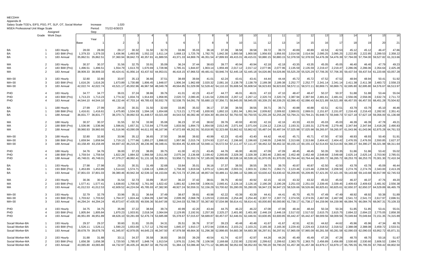| <b>MECDHH</b> |
|---------------|
|               |

| Appendix B |
|------------|
|------------|

| Salary Scale-TOD's, EIFS, PSO, PT, SLP, OT, Social Worker |                 |               |          | Increase            | 1.020          |           |           |           |           |           |                     |           |           |                     |                               |                     |                     |                                         |                       |           |           |                     |           |                     |
|-----------------------------------------------------------|-----------------|---------------|----------|---------------------|----------------|-----------|-----------|-----------|-----------|-----------|---------------------|-----------|-----------|---------------------|-------------------------------|---------------------|---------------------|-----------------------------------------|-----------------------|-----------|-----------|---------------------|-----------|---------------------|
| MSEA Professional Unit Wage Scale                         |                 |               |          | Period:             | 7/1/22-6/30/23 |           |           |           |           |           |                     |           |           |                     |                               |                     |                     |                                         |                       |           |           |                     |           |                     |
|                                                           |                 | Assigned      |          | Step                |                |           |           |           |           |           |                     |           |           |                     |                               |                     |                     |                                         |                       |           |           |                     |           |                     |
|                                                           | Grade Work Days |               |          |                     |                |           |           |           |           |           |                     |           |           |                     | 11                            |                     |                     | 12                                      |                       |           |           |                     | 15        |                     |
|                                                           |                 |               | Base     | Year                |                |           |           |           |           |           |                     |           | 10        | $\cdot$             | 12                            | 13                  | 14                  | 15                                      | 16                    | 17        | 18        | 19                  | 20        | 21                  |
| BA                                                        |                 | 183 Hourly    | 28.00    | 28.00               | 29.17          | 30.32     | 31.50     | 32.70     | 33.86     | 35.03     | 36.18               | 37.39     | 38.58     | 38.58               | 39.72                         | 39.72               | 40.89               | 40.89                                   | 42.53                 | 42.53     | 45.12     | 45.12               | 46.47     | 47.86               |
| BA                                                        |                 | 183 BiW (Pro) | 1,379.33 | 1,379.33            | 1,436.96       | 1,493.95  | 1,552.22  | 1,611.14  | 1,668.13  | 1,725.76  | 1,782.75            | 1,842.30  | 1,900.58  | 1,900.58            | 1,956.93                      | 1,956.93            | 2,014.56            | 2,014.56                                | 2,095.25              | 2,095.25  | 2,222.85  | 2,222.85            | 2,289.53  | 2,358.22            |
| BA                                                        |                 | 183 Annual    |          | 35,862.51 35,862.51 | 37,360.94      | 38,842.73 | 40,357.81 | 41,889.55 | 43,371.33 | 44,869.76 | 46,351.54           | 47,899.93 | 49,415.01 | 49,415.01           |                               | 50,880.15 50,880.15 | 52,378.59           | 52,378.59                               | 54,476.39 54,476.39   |           | 57,794.00 | 57,794.00           |           | 59,527.82 61,313.66 |
|                                                           |                 |               |          |                     |                |           |           |           |           |           |                     |           |           |                     |                               |                     |                     |                                         |                       |           |           |                     |           |                     |
| MA                                                        | 2               | 183 Hourly    | 30.37    | 30.37               | 31.56          | 32.75     | 33.9'     | 35.09     | 36.24     | 37.44     | 38.63               | 39.77     | 40.94     | 40.94               | 42.18                         | 42.18               | 43.35               | 43.35                                   | 45.05                 | 45.05     | 46.40     | 46.40               | 47.79     | 49.23               |
| МA                                                        |                 | 183 BiW (Pro) | 1,496.51 | 1,496.51            | 1,554.79       | 1,613.70  | 1,670.69  | 1,728.96  | 1,785.31  | 1,844.87  | 1,903.14            | 1,959.49  | 2,017.12  | 2,017.12            | 2,077.96                      | 2,077.96            | 2,135.59            | 2,135.59                                | 2,219.47              | 2,219.47  | 2,286.06  | 2,286.06            | 2,354.64  | 2,425.28            |
| MA                                                        |                 | 183 Annual    |          | 38,909.33 38,909.33 | 40,424.41      | 41,956.14 | 43,437.92 | 44,953.01 | 46,418.15 | 47,966.53 | 49,481.61           | 50,946.74 | 52,445.18 | 52,445.18           | 54,026.86                     | 54,026.86           | 55,525.29           | 55,525.29                               | 57,706.35 57,706.35   |           | 59,437.54 | 59,437.54           | 61,220.66 | 63,057.28           |
| MA+30                                                     | 3               | 183 Hourly    | 32.80    | 32.80               | 33.97          | 35.13     | 36.66     | 37.51     | 38.69     | 39.84     | 41.01               | 42.24     | 43.41     | 43.4'               | 44.44                         | 44.44               | 45.72               | 45.72                                   | 47.52                 | 47.52     | 48.94     | 48.94               | 50.41     | 51.92               |
| $MA+30$                                                   | 3               | 183 BiW (Pro) | 1,616.26 | 1,616.26            | 1,673.89       | 1,730.88  | 1,806.45  | 1,848.07  | 1,906.34  | 1,962.69  | 2,020.32            | 2,081.16  | 2,138.79  | 2,138.79            | 2,189.38                      | 2,189.38            | 2,252.77            | 2,252.77                                | 2,341.14              | 2,341.14  | 2,411.38  | 2,411.38            | 2,483.72  | 2,558.23            |
| MA+30                                                     |                 | 183 Annual    |          | 42,022.74 42,022.74 | 43,521.17      | 45,002.96 | 46,967.58 | 48,049.78 | 49,564.85 | 51,029.99 | 52,528.42           | 54,110.10 | 55,608.54 | 55,608.54           | 56,923.83                     | 56,923.83           | 58,572.11           | 58,572.11                               | 60,869.7              | 60,869.71 | 62,695.80 | 62,695.80           | 64,576.67 | 66,513.97           |
|                                                           |                 |               |          |                     |                |           |           |           |           |           |                     |           |           |                     |                               |                     |                     |                                         |                       |           |           |                     |           |                     |
| PHD                                                       |                 | 183 Hourly    | 34.77    | 34.77               | 36.0           | 37.24     | 38.86     | 39.76     | 41.01     | 42.23     | 43.47               | 44.77     | 46.01     | $46.0^{\circ}$      | 47.10                         | 47.10               | 48.47               | 48.47                                   | 50.37                 | 50.37     | 51.88     | 51.88               | 53.44     | 55.04               |
| PHD                                                       |                 | 183 BiW (Pro) | 1,713.23 | 1,713.23            | 1,774.32       | 1,834.74  | 1,914.83  | 1,958.95  | 2,020.72  | 2,080.45  | 2,141.54            | 2,206.03  | 2,267.12  | 2,267.12            | 2,320.74                      | 2,320.74            | 2,387.94            | 2,387.94                                | 2,481.61              | 2,481.61  | 2,556.06  | 2,556.06            | 2,632.74  | 2,711.72            |
| PHD                                                       |                 | 183 Annual    |          | 44,544.10 44,544.10 | 46,132.44      | 47,703.14 | 49,785.63 | 50,932.76 | 52,538.75 | 54,091.79 | 55,680.13           | 57,356.71 | 58,945.05 | 58,945.05           | 60,339.25                     | 60,339.25           | 62,086.43           | 62,086.43                               | 64,521.89 64,521.89   |           | 66,457.55 | 66,457.55           | 68,451.28 | 70,504.82           |
|                                                           | -1              |               | 27.99    |                     |                | 30.31     |           |           |           |           | 36.17               |           |           |                     | 39.71                         | 39.71               |                     | 40.88                                   | 42.51                 |           | 43.79     | 43.79               |           |                     |
| ВA                                                        |                 | 188 Hourly    |          | 27.99               | 29.16          |           | 31.50     | 32.69     | 33.85     | 35.02     |                     | 37.38     | 38.56     | 38.56               |                               |                     | 40.88               |                                         |                       | 42.51     |           |                     | 45.10     | 46.46               |
| BA                                                        |                 | 188 BiW (Pro) | 1,416.61 | 1,416.61            | 1,475.80       | 1,534.33  | 1,594.18  | 1,654.68  | 1,713.21  | 1,772.40  | 1,830.93            | 1,892.10  | 1,951.94  | 1,951.94            | 2,009.82                      | 2,009.82            | 2,069.01            | 2,069.01                                | 2,151.87              | 2,151.87  | 2,216.43  | 2,216.43            | 2,282.92  | 2,351.41            |
| BA                                                        |                 | 188 Annual    |          | 36,831.77 36,831.77 | 38,370.71      | 39,892.53 | 41,448.57 | 43,021.69 | 44,543.53 | 46,082.46 | 47,604.30           | 49,194.52 | 50,750.55 | 50,750.55           | 52,255.28                     | 52,255.28           | 53,794.21           | 53,794.21                               | 55,948.73             | 55,948.73 | 57,627.18 | 57,627.18           | 59,356.00 | 61,136.68           |
|                                                           | $\overline{2}$  | 188 Hourly    | 30.37    | 30.37               | 31.55          | 32.74     | 33.90     | 35.08     | 36.23     | 37.43     | 38.62               | 39.76     | 40.93     | 40.93               | 42.16                         | 42.16               | 43.33               | 43.33                                   | 45.03                 | 45.03     | 46.39     | 46.39               | 47.78     | 49.21               |
| МA                                                        | 2               | 188 BiW (Pro) | 1,536.96 | 1,536.96            | 1,596.81       | 1,657.31  | 1,715.84  | 1,775.69  | 1,833.56  | 1,894.73  | 1,954.58            | 2,012.45  | 2,071.64  | 2,071.64            | 2,134.12                      | 2,134.12            | 2,193.31            | 2,193.31                                | 2,279.46              | 2,279.46  | 2,347.84  | 2,347.84            | 2,418.28  | 2,490.83            |
| MA                                                        | $\mathcal{P}$   | 188 Annual    |          | 39,960.93 39,960.93 | 41,516.96      | 43,090.09 | 44,611.93 | 46,167.96 | 47,672.69 | 49,262.91 | 50,818.95           | 52,323.68 | 53,862.62 | 53,862.62           |                               | 55,487.04 55,487.04 | 57,025.98           | 57,025.98                               | 59,265.97             | 59,265.97 | 61,043.96 | 61,043.96           | 62,875.28 | 64,761.53           |
| MA+30                                                     | 3               | 188 Hourly    | 32.80    | 32.80               | 33.96          | 35.12     | 36.65     | 37.50     | 38.68     | 39.82     | 40.99               | 42.23     | 43.40     | 43.40               | 44.42                         | 44.42               | 45.71               | 45.71                                   | 47.50                 | 47.50     | 48.93     | 48.93               | 50.40     | 51.91               |
| MA+30                                                     |                 | 188 BiW (Pro) | 1,659.94 | 1,659.94            | 1,719.13       | 1,777.66  | 1,855.27  | 1,898.02  | 1,957.86  | 2,015.74  | 2,074.93            | 2,137.41  | 2,196.60  | 2,196.60            | 2,248.55                      | 2,248.55            | 2,313.66            | 2,313.66                                | 2,404.42              | 2,404.42  | 2,476.55  | 2,476.55            | 2,550.85  | 2,627.37            |
| MA+30                                                     | $\mathcal{R}$   | 188 Annual    |          | 43,158.49 43,158.49 | 44,697.43      | 46,219.25 | 48,236.96 | 49,348.41 | 50,904.45 | 52,409.18 | 53,948.11           | 55,572.54 | 57,111.47 | 57,111.47           | 58,462.32                     | 58,462.32           | 60,155.13           | 60,155.13                               | 62,514.83             | 62,514.83 | 64,390.27 | 64,390.27           | 66,321.98 | 68,311.64           |
|                                                           |                 |               |          |                     |                |           |           |           |           |           |                     |           |           |                     |                               |                     |                     |                                         |                       |           |           |                     |           |                     |
| PHD                                                       |                 | 188 Hourly    | 34.76    | 34.76               | 36.00          | 37.23     | 38.85     | 39.75     | 41.00     | 42.21     | 43.45               | 44.76     | 46.00     | 46.00               | 47.09                         | 47.09               | 48.45               | 48.45                                   | 50.35                 | 50.35     | 51.86     | 51.86               | 53.42     | 55.02               |
| <b>PHD</b>                                                | $\overline{4}$  | 188 BiW (Pro) | 1,759.54 | 1,759.54            | 1,822.28       | 1,884.32  | 1,966.58  | 2,011.90  | 2,075.34  | 2,136.68  | 2,199.42            | 2,265.65  | 2,328.39  | 2,328.39            | 2,383.46                      | 2,383.46            | 2,452.48            | 2,452.48                                | 2,548.68              | 2,548.68  | 2,625.14  | 2,625.14            | 2,703.90  | 2,785.0             |
| PHD                                                       |                 | 188 Annual    |          | 45,748.01 45,748.01 | 47,379.27      | 48,992.41 | 51,131.18 | 52,309.31 | 53,958.71 | 55,553.74 | 57,185.00           | 58,906.89 |           | 60,538.16 60,538.16 | 61,970.05 61,970.05 63,764.44 |                     |                     | 63,764.44                               | 66,265.72             | 66,265.72 | 68,253.70 | 68,253.70           | 70,301.30 | 72,410.34           |
| BA                                                        |                 | 193 Hourly    | 27.98    | 27.98               | 29.15          | 30.31     | 31.49     | 32.68     | 33.84     | 35.01     | 36.16               | 37.37     | 38.55     | 38.55               | 39.70                         | 39.70               | 40.87               | 40.87                                   | 42.50                 | 42.50     | 43.78     | 43.78               | 45.09     | 46.44               |
| BA                                                        |                 | 193 BiW (Pro) | 1,453.89 | 1,453.89            | 1.514.63       | 1,574.71  | 1,636.13  | 1,698.22  | 1,758.30  | 1,819.04  | 1,879.12            | 1,941.89  | 2,003.31  | 2,003.31            | 2,062.71                      | 2,062.71            | 2,123.46            | 2,123.46                                | 2,208.50              | 2,208.50  | 2,274.76  | 2,274.76            | 2.343.00  | 2,413.29            |
| BA                                                        |                 | 193 Annual    |          | 37,801.03 37,801.03 | 39,380.46      | 40,942.34 | 42,539.32 | 44,153.84 | 45,715.73 | 47,295.16 | 48,857.04           | 50,489.11 | 52,086.10 | 52,086.10           | 53,630.42                     | 53,630.42           | 55,209.85           | 55,209.85                               | 57,421.05 57,421.05   |           | 59,143.68 | 59,143.68           | 60,917.99 | 62,745.53           |
| МA                                                        | $\overline{2}$  | 193 Hourly    | 30.36    | 30.36               | 31.54          | 32.73     | 33.89     | 35.07     | 36.22     | 37.42     | 38.61               | 39.75     | 40.92     | 40.92               | 42.15                         | 42.15               | 43.32               | 43.32                                   | 45.02                 | 45.02     | 46.37     | 46.37               | 47.76     | 49.20               |
| MA                                                        | $\overline{2}$  | 193 BiW (Pro) | 1,577.41 | 1,577.41            | 1,638.83       | 1,700.92  | 1,761.00  | 1,822.42  | 1,881.82  | 1,944.59  | 2,006.01            | 2,065.4   | 2,126.16  | 2,126.16            | 2,190.28                      | 2,190.28            | 2,251.03            | 2,251.03                                | 2,339.45              | 2,339.45  | 2,409.63  | 2,409.63            | 2,481.92  | 2,556.38            |
| МA                                                        | $\mathcal{P}$   | 193 Annual    |          | 41,012.53 41,012.53 | 42,609.52      | 44,224.04 | 45,785.93 | 47,382.90 | 48,927.24 | 50,559.31 | 52,156.29           | 53,700.62 | 55,280.05 | 55,280.05           | 56,947.23                     | 56,947.23           | 58,526.66           | 58,526.66                               | 60,825.61             | 60,825.61 | 62,650.37 | 62,650.37           | 64,529.89 | 66,465.79           |
|                                                           |                 |               |          |                     |                |           |           |           |           |           |                     |           |           |                     |                               |                     |                     |                                         |                       |           |           |                     |           |                     |
| MA+30                                                     | 3               | 193 Hourly    | 32.79    | 32.79               | 33.96          | 35.11     | 36.64     | 37.49     | 38.67     | 39.81     | 40.98               | 42.22     | 43.39     | 43.39               | 44.41                         | 44.41               | 45.70               | 45.70                                   | 47.49                 | 47.49     | 48.92     | 48.92               | 50.38     | 51.89               |
| MA+30                                                     | 3               | 193 BiW (Pro) | 1,703.62 | 1,703.62            | 1,764.37       | 1,824.44  | 1,904.09  | 1,947.96  | 2,009.39  | 2,068.78  | 2,129.53            | 2,193.65  | 2,254.40  | 2,254.40            | 2,307.72                      | 2,307.72            | 2,374.55            | 2,374.55                                | 2,467.69              | 2,467.69  | 2,541.72  | 2,541.72            | 2,617.97  | 2,696.51            |
| $MA+30$                                                   | 3               | 193 Annual    |          | 44,294.24 44,294.24 | 45,873.67      | 47,435.55 | 49,506.36 | 50,647.06 | 52,244.03 | 53,788.37 | 55,367.80           | 57,034.98 | 58,614.41 | 58,614.41           | 60,000.80                     |                     | 60,000.80 61,738.17 | 61,738.17                               | 64, 159.96 64, 159.96 |           | 66,084.76 | 66,084.76           | 68,067.31 | 70,109.33           |
|                                                           |                 |               |          |                     |                |           |           |           |           |           |                     |           |           |                     |                               |                     |                     |                                         |                       |           |           |                     |           |                     |
| PHD<br><b>PHD</b>                                         | $\overline{4}$  | 193 Hourly    | 34.75    | 34.75               | 35.99          | 37.22     | 38.84     | 39.74     | 40.99     | 42.20     | 43.44               | 44.75     | 46.22     | 46.22               | 47.08                         | 47.08               | 48.44               | 48.44                                   | 50.34                 | 50.34     | 51.85     | 51.85               | 53.41     | $55.0^{\circ}$      |
|                                                           |                 | 193 BiW (Pro) | 1,805.84 | 1,805.84            | 1,870.23       | 1,933.91  | 2,018.34  | 2,064.84  | 2,129.95  | 2,192.91  | 2,257.30            | 2,325.27  | 2,401.80  | 2,401.80            | 2,446.19                      | 2,446.19            | 2,517.02            | 2,517.02                                | 2,615.75              | 2,615.75  | 2,694.22  | 2,694.22            | 2,775.05  | 2,858.30            |
| PHD                                                       |                 | 193 Annual    |          | 46,951.89 46,951.89 | 48,626.10      | 50,281.69 | 52,476.74 | 53,685.88 | 55,378.67 | 57,015.67 | 58,689.87           | 60,457.07 | 62,446.91 | 62,446.91           |                               | 63,600.85 63,600.85 | 65,442.47           | 65,442.47                               | 68,009.56 68,009.56   |           | 70,049.84 | 70,049.84           | 72,151.35 | 74,315.89           |
| Socail Worker-BA                                          |                 | 193 Hourly    | 29.37    | 29.37               | 30.60          | 31.81     | 33.05     | 34.31     | 35.51     | 36.76     | 37.97               | 39.23     | 40.48     | 40.48               | 41.67                         | 41.67               | 42.91               | 42.91                                   | 44.62                 | 44.62     | 45.96     | 45.96               | 47.34     | 48.76               |
| Socail Worker-BA                                          | $\overline{1}$  | 193 BiW (Pro) | 1,526.11 | 1,526.11            | 1,590.23       | 1,653.00  | 1,717.12  | 1,782.60  | 1,845.37  | 1,910.17  | 1,972.94            | 2,038.41  | 2,103.21  | 2,103.21            | 2,165.30                      | 2,165.30            | 2,229.43            | 2,229.43                                | 2,318.52              | 2,318.52  | 2,388.08  | 2,388.08            | 2,459.72  | 2,533.5             |
| Socail Worker-BA                                          | $\overline{1}$  | 193 Annual    |          | 39,678.79 39,678.79 | 41,345.97      | 42,978.05 | 44,645.23 | 46,347.50 | 47,979.58 |           | 49,664.30 51,296.38 | 52,998.65 | 54,683.38 | 54,683.38           | 56,297.91 56,297.91           |                     | 57,965.09           | 57,965.09                               | 60,281.58 60,281.58   |           | 62,090.03 | 62,090.03           | 63,952.72 | 65,871.31           |
|                                                           |                 |               |          |                     |                |           |           |           |           |           |                     |           |           |                     |                               |                     |                     |                                         |                       |           |           |                     |           |                     |
| Social Worker-MA                                          | $\mathcal{P}$   | 193 Hourly    | 31.88    | 31.88               | 33.1           | 34.37     | 35.58     | 36.83     | 38.03     | 39.29     | 40.54               | 41.7      | 42.97     | 42.97               | 44.26                         | 44.26               | 45.49               | 45.49                                   | 47.28                 | 47.28     | 48.70     | 48.70               | 50.16     | 51.67               |
| Social Worker-MA                                          | 2               | 193 BiW (Pro) | 1,656.38 | 1,656.38            | 1,720.50       | 1,785.97  | 1,848.74  | 1,913.54  | 1,976.31  | 2,041.78  | 2,106.58            | 2,168.68  | 2,232.80  | 2,232.80            | 2,299.62                      | 2,299.62            | 2,363.75            | 2,363.75                                | 2,456.89              | 2,456.89  | 2,530.60  | 2,530.60            | 2,606.52  | 2,684.71            |
| Social Worker-MA                                          | $\mathcal{P}$   | 193 Annual    |          | 43,065.80 43,065.80 | 44,732.97      | 46,435.24 | 48,067.32 | 49,752.05 | 51,384.13 |           | 53,086.40 54,771.12 | 56,385.66 |           | 58,052.83 58,052.83 |                               |                     |                     | 59,790.20 59,790.20 61,457.38 61,457.38 | 63,879.17 63,879.17   |           |           | 65,795.55 65,795.55 | 67,769.42 | 69,802.50           |
|                                                           |                 |               |          |                     |                |           |           |           |           |           |                     |           |           |                     |                               |                     |                     |                                         |                       |           |           |                     |           |                     |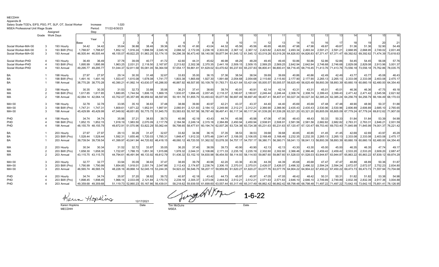| MECDHH |  |  |
|--------|--|--|
|        |  |  |

| MECDHH     |  |  |
|------------|--|--|
| Appendix B |  |  |

| UNNGHUIA L                                                |                 |               |                     |          |                |                                         |                     |                                         |          |                   |                                                                                                                                                                 |           |                |                     |                               |                                                                       |          |                               |                     |           |                                         |          |                                                             |                     |
|-----------------------------------------------------------|-----------------|---------------|---------------------|----------|----------------|-----------------------------------------|---------------------|-----------------------------------------|----------|-------------------|-----------------------------------------------------------------------------------------------------------------------------------------------------------------|-----------|----------------|---------------------|-------------------------------|-----------------------------------------------------------------------|----------|-------------------------------|---------------------|-----------|-----------------------------------------|----------|-------------------------------------------------------------|---------------------|
| Salary Scale-TOD's, EIFS, PSO, PT, SLP, OT, Social Worker |                 |               |                     | Increase | 1.020          |                                         |                     |                                         |          |                   |                                                                                                                                                                 |           |                |                     |                               |                                                                       |          |                               |                     |           |                                         |          |                                                             |                     |
| MSEA Professional Unit Wage Scale                         |                 |               |                     | Period:  | 7/1/22-6/30/23 |                                         |                     |                                         |          |                   |                                                                                                                                                                 |           |                |                     |                               |                                                                       |          |                               |                     |           |                                         |          |                                                             |                     |
|                                                           |                 | Assianed      |                     | Step     |                |                                         |                     |                                         |          |                   |                                                                                                                                                                 |           |                |                     |                               |                                                                       |          |                               |                     |           |                                         |          |                                                             |                     |
|                                                           | Grade Work Davs |               |                     |          |                |                                         |                     |                                         |          |                   |                                                                                                                                                                 |           |                |                     | 11                            | 11                                                                    | 12       | 12                            | 13                  | 13        |                                         | 14       | 15                                                          |                     |
|                                                           |                 |               |                     | Year     |                |                                         |                     |                                         |          |                   |                                                                                                                                                                 |           |                |                     |                               |                                                                       |          |                               |                     |           |                                         |          |                                                             |                     |
|                                                           |                 |               | Base                |          |                |                                         |                     |                                         |          |                   |                                                                                                                                                                 |           |                |                     |                               |                                                                       |          |                               |                     |           |                                         |          | 20                                                          |                     |
| Social Worker-MA+30                                       |                 | 193 Hourly    | 34.42               | 34.42    | 35.64          | 36.88                                   | 38.46               | 39.36                                   | 40.19    | 41.80             | 43.04                                                                                                                                                           | 44.32     | 45.56          | 45.56               | 46.65                         | 46.65                                                                 | 47.98    | 47.98                         | 49.87               | 49.87     | 51.36                                   | 51.36    | 52.90                                                       | 54.49               |
| Social Worker-MA+30                                       | 3               | 193 BiW (Pro) | 1,788.67            | 1,788.67 | 1,852.12       | 1,916.24                                | 1,998.59            | 2,045.16                                |          | 2,088.32 2,172.05 | 2,236.18                                                                                                                                                        | 2,303.00  | 2,367.12       | 2,367.12            | 2,423.82                      | 2,423.82                                                              | 2,493.34 | 2,493.34                      | 2,591.21            | 2,591.21  | 2,668.95                                | 2,668.95 | 2,749.02                                                    | 2,831.49            |
| Social Worker-MA+30                                       | $\mathcal{R}$   | 193 Annual    | 46,505.44 46,505.44 |          | 48.155.07      | 49,822.25                               |                     | 51,963.25 53,174.15                     |          |                   | 54,296.39 56,473.40 58,140.58                                                                                                                                   |           |                |                     |                               | 59,877.94 61,545.12 61,545.12 63,019.26 63,019.26 64,826.83 64,826.83 |          |                               | 67.371.47           | 67,371.47 |                                         |          | 69,392.62 69,392.62 71,474.39 73,618.63                     |                     |
|                                                           |                 |               |                     |          |                |                                         |                     |                                         |          |                   |                                                                                                                                                                 |           |                |                     |                               |                                                                       |          |                               |                     |           |                                         |          |                                                             |                     |
| Social Worker-PHD                                         |                 | 193 Hourly    | 36.49               | 36.49    | 37.78          | 39.09                                   | 40.77               | 41.72                                   | 42.60    | 44.31             | 45.62                                                                                                                                                           | 46.98     | 48.29          | 48.29               | 49.45                         | 49.45                                                                 | 50.86    | 50.86                         | 52.86               | 52.86     | 54.45                                   | 54.45    | 56.08                                                       | 57.76               |
| Social Worker-PHD                                         |                 | 193 BiW (Pro) | 1,895.99            | 1,895.99 | 1,963.25       | 2,031.21                                | 2,118.50            | 2,167.87                                | 2,213.62 | 2,302.38          | 2,370.35                                                                                                                                                        | 2,441.18  | 2,509.15       | 2,509.15            | 2,569.25                      | 2,569.25                                                              | 2,642.94 | 2.642.94                      | 2,746.68            | 2,746.68  | 2.829.08                                | 2,829.08 | 2.913.96                                                    | 3,001.37            |
| Social Worker-PHD                                         | $\Delta$        | 193 Annual    |                     |          |                |                                         |                     |                                         |          |                   | 57,554.17 59,861.81 61,629.02 63,470.62                                                                                                                         |           |                |                     |                               | 65,237.83 65,237.83 66,800.41 66,800.41 68,716.45 68,716.45           |          |                               |                     |           |                                         |          |                                                             |                     |
|                                                           |                 |               | 49,295.77 49,295.77 |          |                |                                         |                     | 51,044.37 52,811.58 55,081.05 56,364.59 |          |                   |                                                                                                                                                                 |           |                |                     |                               |                                                                       |          |                               |                     |           |                                         |          | 71,413.76 71,413.76 73,556.18 73,556.18 75,762.86 78,035.75 |                     |
|                                                           |                 |               |                     |          |                |                                         |                     |                                         |          |                   |                                                                                                                                                                 |           |                |                     |                               |                                                                       |          |                               |                     |           |                                         |          |                                                             |                     |
| ВA                                                        |                 | 198 Hourly    | 27.97               | 27.97    | 29.14          | 30.30                                   | 31.48               | 32.67                                   | 33.83    | 35.00             | 36.15                                                                                                                                                           | 37.36     | 38.54          | 38.54               | 39.69                         | 39.69                                                                 | 40.86    | 40.86                         | 42.49               | 42.49     | 43.77                                   | 43.77    | 45.08                                                       | 46.43               |
| BA                                                        |                 | 198 BiW (Pro) | 1,491.16            | 1,491.16 | 1,553.47       | 1.615.08                                | 1,678.08            | 1,741.77                                | 1,803.38 | 1,865.69          | 1,927.30                                                                                                                                                        | 1,991.68  | 2,054.68       | 2,054.68            | 2,115.60                      | 2,115.60                                                              | 2,177.90 | 2,177.90                      | 2,265.13            | 2,265.13  | 2,333.08                                | 2,333.08 | 2,403.08                                                    | 2,475.17            |
|                                                           |                 | 198 Annual    | 38,770.28 38,770.28 |          | 40.390.21      | 41.992.14                               | 43,630.07           | 45,286.00                               |          |                   | 46,887.92 48,507.85 50,109.78 51,783.71                                                                                                                         |           |                | 53,421.64 53,421.64 |                               | 55,005.57 55,005.57 56,625.49 56,625.49                               |          |                               | 58.893.39           | 58.893.39 |                                         |          | 60,660.19 60,660.19 62,480.00 64,354.40                     |                     |
|                                                           |                 |               |                     |          |                |                                         |                     |                                         |          |                   |                                                                                                                                                                 |           |                |                     |                               |                                                                       |          |                               |                     |           |                                         |          |                                                             |                     |
| МA                                                        |                 | 198 Hourly    | 30.35               | 30.35    | 31.53          | 32.73                                   | 33.88               | 35.06                                   | 36.21    | 37.41             | 38.60                                                                                                                                                           | 39.74     | $40.9^{\circ}$ | 40.9 <sup>°</sup>   | 42.14                         | 42.14                                                                 | 43.31    | 43.31                         | 45.01               | 45.01     | 46.36                                   | 46.36    | 47.75                                                       | 49.18               |
| МA                                                        |                 | 198 BiW (Pro) | 1,617.85            | 1,617.85 | 1,680.85       | 1.744.54                                | 1,806.15            | 1,869.15                                | 1,930.07 | 1,994.45          | 2.057.45                                                                                                                                                        | 2,118.37  | 2,180.67       | 2,180.67            | 2,246.44                      | 2,246.44                                                              | 2,308.74 | 2,308.74                      | 2,399.43            | 2,399.43  | 2,471.42                                | 2.471.42 | 2,545.56                                                    | 2,621.92            |
| МA                                                        | $\overline{2}$  | 198 Annual    | 42,064.14 42,064.14 |          | 43,702.07      | 45,357.99                               | 46,959.92           | 48.597.85                               |          |                   | 50,181.78 51,855.70 53,493.63                                                                                                                                   |           |                |                     |                               | 55,077.56 56,697.49 56,697.49 58,407.41 58,407.41 60,027.34 60,027.34 |          |                               | 62,385.24 62,385.24 |           |                                         |          | 64,256.79 64,256.79 66,184.49 68,170.03                     |                     |
|                                                           |                 |               |                     |          |                |                                         |                     |                                         |          |                   |                                                                                                                                                                 |           |                |                     |                               |                                                                       |          |                               |                     |           |                                         |          |                                                             |                     |
| MA+30                                                     |                 | 198 Hourly    | 32.78               | 32.78    | 33.95          | 35.10                                   | 36.63               | 37.48                                   | 38.66    | 39.80             | 40.97                                                                                                                                                           | 42.21     | 43.37          | 43.37               | 44.40                         | 44.40                                                                 | 45.69    | 45.69                         | 47.48               | 47.48     | 48.90                                   | 48.90    | 50.37                                                       | 51.88               |
| MA+30                                                     |                 | 198 BiW (Pro) | 1.747.31            | 1.747.3' | 1,809.61       | 1.871.22                                | 1.952.91            | 1,997.91                                | 2,060.91 | 2,121.83          | 2.184.13                                                                                                                                                        | 2,249.90  | 2,312.21       | 2,312.21            | 2,366.90                      | 2,366.90                                                              | 2,435.43 | 2,435.43                      | 2,530.96            | 2,530.96  | 2.606.89                                | 2.606.89 | 2.685.10                                                    | 2,765.65            |
| MA+30                                                     | 3               | 198 Annual    | 45,429.99 45,429.99 |          | 47,049.92      |                                         |                     | 48,651.85 50,775.75 51,945.70           |          |                   | 53,583.63 55,167.56 56,787.49                                                                                                                                   |           |                |                     |                               | 58,497.41 60,117.34 60,117.34 61,539.28 61,539.28 63,321.20 63,321.20 |          |                               | 65,805.09           | 65,805.09 | 67,779.24                               |          | 67,779.24 69,812.62 71,907.00                               |                     |
|                                                           |                 |               |                     |          |                |                                         |                     |                                         |          |                   |                                                                                                                                                                 |           |                |                     |                               |                                                                       |          |                               |                     |           |                                         |          |                                                             |                     |
| PHD                                                       |                 | 198 Hourly    | 34.74               | 34.74    | 35.98          | 37.21                                   | 38.83               | 39.73                                   | 40.98    | 42.19             | 43.43                                                                                                                                                           | 44.74     | 45.98          | 45.98               | 47.06                         | 47.06                                                                 | 48.43    | 48.43                         | 50.33               | 50.33     | 51.84                                   | 51.84    | 53.39                                                       | 54.99               |
| PHD                                                       |                 | 198 BiW (Pro) | 1,852.15            | 1,852.15 | 1,918.19       | 1,983.50                                | 2.070.09            | 2,117.79                                | 2,184.56 | 2.249.14          | 2.315.18                                                                                                                                                        | 2,384.89  | 2,450.94       | 2,450.94            | 2,508.91                      | 2,508.91                                                              | 2,581.56 | 2,581.56                      | 2,682.82            | 2,682.82  | 2.763.31                                | 2,763.31 | 2.846.21                                                    | 2,931.59            |
| PHD                                                       |                 | 198 Annual    | 48,155.79 48,155.79 |          |                |                                         |                     | 49,872.91 51,570.96 53,822.29 55,062.44 |          |                   | 56,798.65 58,477.61 60,194.74                                                                                                                                   |           |                |                     |                               | 62,007.26 63,724.38 63,724.38 65,231.63 65,231.63 67,120.47 67,120.47 |          |                               |                     |           | 69,753.40 69,753.40 71,845.99 71,845.99 |          |                                                             | 74,001.37 76,221.42 |
|                                                           |                 |               |                     |          |                |                                         |                     |                                         |          |                   |                                                                                                                                                                 |           |                |                     |                               |                                                                       |          |                               |                     |           |                                         |          |                                                             |                     |
|                                                           |                 | 203 Hourly    | 27.97               | 27.97    | 29.13          | 30.29                                   | 31.47               | 32.67                                   | 33.82    | 34.99             | 36.15                                                                                                                                                           | 37.35     | 38.53          | 38.53               | 39.68                         | 39.68                                                                 | 40.85    | 40.85                         | 41.45               | 41.45     | 42.69                                   | 42.69    | 43.97                                                       | 45.29               |
|                                                           |                 | 203 BiW (Pro) | 1.528.44            | 1.528.44 | 1.592.31       | 1.655.46                                | 1.720.03            | 1.785.31                                | 1.848.47 | 1.912.33          | 1.975.48                                                                                                                                                        | 2,041.47  | 2,106.05       | 2.106.05            | 2.168.49                      | 2,168.49                                                              | 2,232.35 | 2.232.35                      | 2,265.13            | 2.265.13  | 2.333.08                                | 2.333.08 | 2.403.08                                                    | 2,475.17            |
| ВA                                                        |                 | 203 Annual    | 39,739.54 39,739.54 |          | 41.399.97      |                                         | 43,041.94 44,720.82 | 46,418.15                               |          |                   | 48,060.12 49,720.55 51,362.52                                                                                                                                   | 53,078.30 |                |                     |                               | 54,757.17 54,757.17 56,380.71 56,380.71 58,041.13 58,041.13           |          |                               | 58,893.39           | 58,893.39 |                                         |          | 60,660.19 60,660.19 62,480.00 64,354.40                     |                     |
|                                                           |                 |               |                     |          |                |                                         |                     |                                         |          |                   |                                                                                                                                                                 |           |                |                     |                               |                                                                       |          |                               |                     |           |                                         |          |                                                             |                     |
| MА                                                        |                 | 203 Hourly    | 30.34               | 30.34    | 31.52          | 32.72                                   | 33.87               | 35.05                                   | 36.20    | 37.40             | 38.59                                                                                                                                                           | 39.73     | 40.90          | 40.90               | 42.13                         | 42.13                                                                 | 43.30    | 43.30                         | 45.00               | 45.00     | 46.35                                   | 46.35    | 47.74                                                       | 49.17               |
| МA                                                        |                 | 203 BiW (Pro) | 1,658.30            | 1,658.30 | 1,722.87       | 1,788.15                                | 1,851.30            | 1,915.88                                | 1,978.32 | 2,044.31          | 2,108.88                                                                                                                                                        | 2,171.33  | 2,235.19       | 2,235.19            | 2,302.60                      | 2,302.60                                                              | 2,366.46 | 2,366.46                      | 2,459.42            | 2,459.42  | 2,533.20                                | 2,533.20 | 2,609.20                                                    | 2,687.47            |
| МA                                                        |                 | 203 Annual    | 43,115.75 43,115.75 |          | 44,794.61      |                                         | 46,491.94 48,133.92 | 49,812.79                               |          |                   | 51,436.32 53,152.10 54,830.98                                                                                                                                   | 56,454.50 |                |                     | 58,114.93 58,114.93 59,867.60 |                                                                       |          | 59,867.60 61,528.03 61,528.03 | 63,944.87           | 63,944.87 |                                         |          | 65,863.22 65,863.22 67,839.12 69,874.29                     |                     |
|                                                           |                 |               |                     |          |                |                                         |                     |                                         |          |                   |                                                                                                                                                                 |           |                |                     |                               |                                                                       |          |                               |                     |           |                                         |          |                                                             |                     |
| MA+30                                                     |                 | 203 Hourly    | 32.77               | 32.77    | 33.94          | 35.09                                   | 36.63               | 37.47                                   | 38.65    | 39.79             | 40.96                                                                                                                                                           | 42.20     | 43.36          | 43.36               | 44.39                         | 44.39                                                                 | 45.68    | 45.68                         | 47.47               | 47.47     | 48.89                                   | 48.89    | 50.36                                                       | 51.87               |
| MA+30                                                     |                 | 203 BiW (Pro) | 1,790.99            | 1,790.99 | 1,854.85       | 1,918.01                                | 2,001.74            | 2,047.86                                | 2,112.43 | 2,174.87          | 2,238.74                                                                                                                                                        | 2,306.15  | 2,370.01       | 2,370.01            | 2,426.07                      | 2,426.07                                                              | 2,496.32 | 2,496.32                      | 2,594.24            | 2,594.24  | 2,672.07                                | 2,672.07 | 2,752.23                                                    | 2,834.80            |
| MA+30                                                     | 3               | 203 Annual    | 46,565.74 46,565.74 |          | 48,226.16      | 49,868.14                               | 52,045.15           | 53,244.35                               |          |                   | 54,923.22 56,546.75 58,207.17                                                                                                                                   | 59,959.85 |                |                     | 61,620.27 61,620.27 63,077.76 |                                                                       |          | 63,077.76 64,904.22 64,904.22 | 67,450.22           | 67,450.22 |                                         |          | 69,473.73 69,473.73 71,557.94                               | 73,704.68           |
|                                                           |                 |               |                     |          |                |                                         |                     |                                         |          |                   |                                                                                                                                                                 |           |                |                     |                               |                                                                       |          |                               |                     |           |                                         |          |                                                             |                     |
| PHD                                                       |                 | 203 Hourly    | 34.74               | 34.74    | 35.97          | 37.20                                   | 38.82               | 39.72                                   | 40.97    | 42.18             | 43.42                                                                                                                                                           | 44.73     | 45.97          | 45.97               | 47.05                         | 47.05                                                                 | 48.42    | 48.42                         | 50.31               | 50.31     | 51.82                                   | 51.82    | 53.38                                                       | 54.98               |
| PHD                                                       |                 | 203 BiW (Pro) | 1,898.45            | 1,898.45 | 1,966.14       | 2,033.09                                | 2,121.84            | 2,170.73                                | 2,239.18 | 2,305.37          | 2,373.06                                                                                                                                                        | 2,444.52  | 2,512.21       | 2,512.21            | 2,571.63                      | 2,571.63                                                              | 2,646.10 | 2,646.10                      | 2,749.89            | 2,749.89  | 2,832.39                                | 2,832.39 | 2,917.36                                                    | 3,004.88            |
| PHD                                                       |                 |               |                     |          |                |                                         |                     |                                         |          |                   |                                                                                                                                                                 |           |                |                     |                               |                                                                       |          |                               |                     |           |                                         |          |                                                             |                     |
|                                                           |                 | 203 Annual    | 49,359.68 49,359.68 |          |                | 51,119.73 52,860.23 55,167.86 56,439.01 |                     |                                         |          |                   | 58,218.62 59,939.55 61,699.60 63,557.44 65,317.49 65,317.49 66,862.42 66,862.42 68,798.48 68,798.48 71,497.22 71,497.22 73,642.15 73,642.15 75,851.41 78,126.95 |           |                |                     |                               |                                                                       |          |                               |                     |           |                                         |          |                                                             |                     |
|                                                           |                 |               |                     |          |                |                                         |                     |                                         |          |                   | $\frac{1}{2}$                                                                                                                                                   |           |                |                     |                               |                                                                       |          |                               |                     |           |                                         |          |                                                             |                     |

Tim McGuire 1-6-22 1-6-22

Karen Hopkins Karen Hopkins<br>MECDHH

Karen Hopkins Date Tim McGuire Date 12/17/2021

MSEA